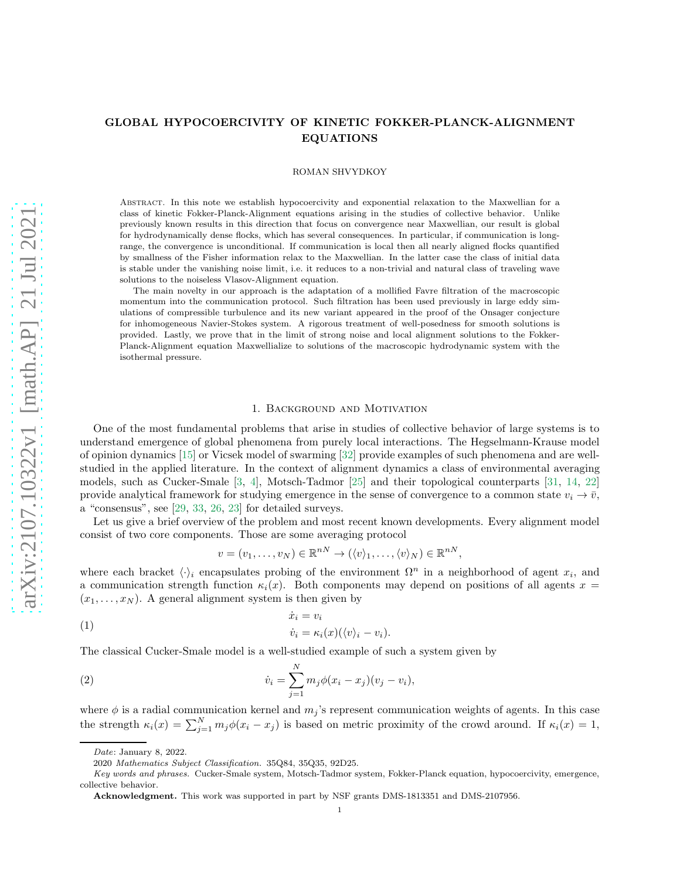# GLOBAL HYPOCOERCIVITY OF KINETIC FOKKER-PLANCK-ALIGNMENT EQUATIONS

#### ROMAN SHVYDKOY

Abstract. In this note we establish hypocoercivity and exponential relaxation to the Maxwellian for a class of kinetic Fokker-Planck-Alignment equations arising in the studies of collective behavior. Unlike previously known results in this direction that focus on convergence near Maxwellian, our result is global for hydrodynamically dense flocks, which has several consequences. In particular, if communication is longrange, the convergence is unconditional. If communication is local then all nearly aligned flocks quantified by smallness of the Fisher information relax to the Maxwellian. In the latter case the class of initial data is stable under the vanishing noise limit, i.e. it reduces to a non-trivial and natural class of traveling wave solutions to the noiseless Vlasov-Alignment equation.

The main novelty in our approach is the adaptation of a mollified Favre filtration of the macroscopic momentum into the communication protocol. Such filtration has been used previously in large eddy simulations of compressible turbulence and its new variant appeared in the proof of the Onsager conjecture for inhomogeneous Navier-Stokes system. A rigorous treatment of well-posedness for smooth solutions is provided. Lastly, we prove that in the limit of strong noise and local alignment solutions to the Fokker-Planck-Alignment equation Maxwellialize to solutions of the macroscopic hydrodynamic system with the isothermal pressure.

#### 1. Background and Motivation

One of the most fundamental problems that arise in studies of collective behavior of large systems is to understand emergence of global phenomena from purely local interactions. The Hegselmann-Krause model of opinion dynamics [\[15\]](#page-19-0) or Vicsek model of swarming [\[32\]](#page-19-1) provide examples of such phenomena and are wellstudied in the applied literature. In the context of alignment dynamics a class of environmental averaging models, such as Cucker-Smale [\[3,](#page-18-0) [4\]](#page-18-1), Motsch-Tadmor [\[25\]](#page-19-2) and their topological counterparts [\[31,](#page-19-3) [14,](#page-19-4) [22\]](#page-19-5) provide analytical framework for studying emergence in the sense of convergence to a common state  $v_i \to \bar{v}$ , a "consensus", see [\[29,](#page-19-6) [33,](#page-19-7) [26,](#page-19-8) [23\]](#page-19-9) for detailed surveys.

Let us give a brief overview of the problem and most recent known developments. Every alignment model consist of two core components. Those are some averaging protocol

$$
v = (v_1, \ldots, v_N) \in \mathbb{R}^{nN} \to (\langle v \rangle_1, \ldots, \langle v \rangle_N) \in \mathbb{R}^{nN},
$$

where each bracket  $\langle \cdot \rangle_i$  encapsulates probing of the environment  $\Omega^n$  in a neighborhood of agent  $x_i$ , and a communication strength function  $\kappa_i(x)$ . Both components may depend on positions of all agents  $x =$  $(x_1, \ldots, x_N)$ . A general alignment system is then given by

(1) 
$$
\dot{x}_i = v_i
$$

$$
\dot{v}_i = \kappa_i(x) (\langle v \rangle_i - v_i).
$$

The classical Cucker-Smale model is a well-studied example of such a system given by

(2) 
$$
\dot{v}_i = \sum_{j=1}^N m_j \phi(x_i - x_j)(v_j - v_i),
$$

where  $\phi$  is a radial communication kernel and  $m_j$ 's represent communication weights of agents. In this case the strength  $\kappa_i(x) = \sum_{j=1}^N m_j \phi(x_i - x_j)$  is based on metric proximity of the crowd around. If  $\kappa_i(x) = 1$ ,

Date: January 8, 2022.

<sup>2020</sup> Mathematics Subject Classification. 35Q84, 35Q35, 92D25.

Key words and phrases. Cucker-Smale system, Motsch-Tadmor system, Fokker-Planck equation, hypocoercivity, emergence, collective behavior.

Acknowledgment. This work was supported in part by NSF grants DMS-1813351 and DMS-2107956.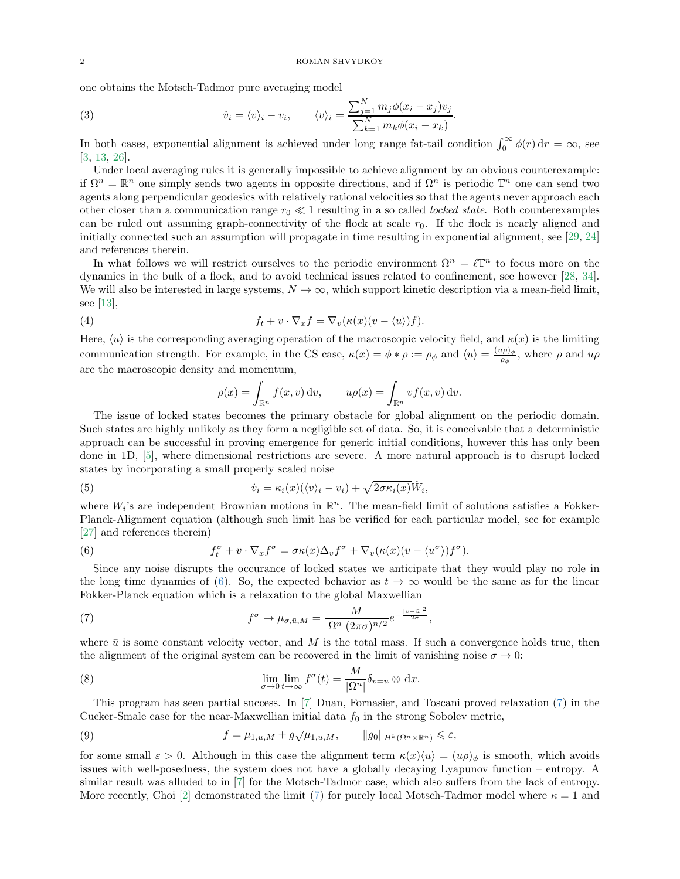one obtains the Motsch-Tadmor pure averaging model

<span id="page-1-3"></span>(3) 
$$
\dot{v}_i = \langle v \rangle_i - v_i, \qquad \langle v \rangle_i = \frac{\sum_{j=1}^N m_j \phi(x_i - x_j) v_j}{\sum_{k=1}^N m_k \phi(x_i - x_k)}.
$$

In both cases, exponential alignment is achieved under long range fat-tail condition  $\int_0^\infty \phi(r) dr = \infty$ , see [\[3,](#page-18-0) [13,](#page-19-10) [26\]](#page-19-8).

Under local averaging rules it is generally impossible to achieve alignment by an obvious counterexample: if  $\Omega^n = \mathbb{R}^n$  one simply sends two agents in opposite directions, and if  $\Omega^n$  is periodic  $\mathbb{T}^n$  one can send two agents along perpendicular geodesics with relatively rational velocities so that the agents never approach each other closer than a communication range r<sup>0</sup> ≪ 1 resulting in a so called *locked state*. Both counterexamples can be ruled out assuming graph-connectivity of the flock at scale  $r_0$ . If the flock is nearly aligned and initially connected such an assumption will propagate in time resulting in exponential alignment, see [\[29,](#page-19-6) [24\]](#page-19-11) and references therein.

In what follows we will restrict ourselves to the periodic environment  $\Omega^n = \ell \mathbb{T}^n$  to focus more on the dynamics in the bulk of a flock, and to avoid technical issues related to confinement, see however [\[28,](#page-19-12) [34\]](#page-19-13). We will also be interested in large systems,  $N \to \infty$ , which support kinetic description via a mean-field limit, see [\[13\]](#page-19-10),

(4) 
$$
f_t + v \cdot \nabla_x f = \nabla_v (\kappa(x)(v - \langle u \rangle) f).
$$

Here,  $\langle u \rangle$  is the corresponding averaging operation of the macroscopic velocity field, and  $\kappa(x)$  is the limiting communication strength. For example, in the CS case,  $\kappa(x) = \phi * \rho := \rho_{\phi}$  and  $\langle u \rangle = \frac{(u\rho)_{\phi}}{\rho_{\phi}}$  $\frac{\mu \rho_{\phi}}{\rho_{\phi}}$ , where  $\rho$  and  $u\rho$ are the macroscopic density and momentum,

$$
\rho(x) = \int_{\mathbb{R}^n} f(x, v) dv, \qquad u\rho(x) = \int_{\mathbb{R}^n} v f(x, v) dv.
$$

The issue of locked states becomes the primary obstacle for global alignment on the periodic domain. Such states are highly unlikely as they form a negligible set of data. So, it is conceivable that a deterministic approach can be successful in proving emergence for generic initial conditions, however this has only been done in 1D, [\[5\]](#page-18-2), where dimensional restrictions are severe. A more natural approach is to disrupt locked states by incorporating a small properly scaled noise

(5) 
$$
\dot{v}_i = \kappa_i(x)(\langle v \rangle_i - v_i) + \sqrt{2\sigma\kappa_i(x)}\dot{W}_i,
$$

where  $W_i$ 's are independent Brownian motions in  $\mathbb{R}^n$ . The mean-field limit of solutions satisfies a Fokker-Planck-Alignment equation (although such limit has be verified for each particular model, see for example [\[27\]](#page-19-14) and references therein)

<span id="page-1-0"></span>(6) 
$$
f_t^{\sigma} + v \cdot \nabla_x f^{\sigma} = \sigma \kappa(x) \Delta_v f^{\sigma} + \nabla_v (\kappa(x) (v - \langle u^{\sigma} \rangle) f^{\sigma}).
$$

Since any noise disrupts the occurance of locked states we anticipate that they would play no role in the long time dynamics of [\(6\)](#page-1-0). So, the expected behavior as  $t \to \infty$  would be the same as for the linear Fokker-Planck equation which is a relaxation to the global Maxwellian

<span id="page-1-1"></span>(7) 
$$
f^{\sigma} \to \mu_{\sigma,\bar{u},M} = \frac{M}{|\Omega^n|(2\pi\sigma)^{n/2}}e^{-\frac{|v-\bar{u}|^2}{2\sigma}},
$$

where  $\bar{u}$  is some constant velocity vector, and M is the total mass. If such a convergence holds true, then the alignment of the original system can be recovered in the limit of vanishing noise  $\sigma \to 0$ :

(8) 
$$
\lim_{\sigma \to 0} \lim_{t \to \infty} f^{\sigma}(t) = \frac{M}{|\Omega^n|} \delta_{v=\bar{u}} \otimes dx.
$$

This program has seen partial success. In [\[7\]](#page-18-3) Duan, Fornasier, and Toscani proved relaxation [\(7\)](#page-1-1) in the Cucker-Smale case for the near-Maxwellian initial data  $f_0$  in the strong Sobolev metric,

<span id="page-1-2"></span>(9) 
$$
f = \mu_{1,\bar{u},M} + g\sqrt{\mu_{1,\bar{u},M}}, \qquad ||g_0||_{H^k(\Omega^n \times \mathbb{R}^n)} \leq \varepsilon,
$$

for some small  $\varepsilon > 0$ . Although in this case the alignment term  $\kappa(x)\langle u \rangle = (u\rho)_{\phi}$  is smooth, which avoids issues with well-posedness, the system does not have a globally decaying Lyapunov function – entropy. A similar result was alluded to in [\[7\]](#page-18-3) for the Motsch-Tadmor case, which also suffers from the lack of entropy. More recently, Choi [\[2\]](#page-18-4) demonstrated the limit [\(7\)](#page-1-1) for purely local Motsch-Tadmor model where  $\kappa = 1$  and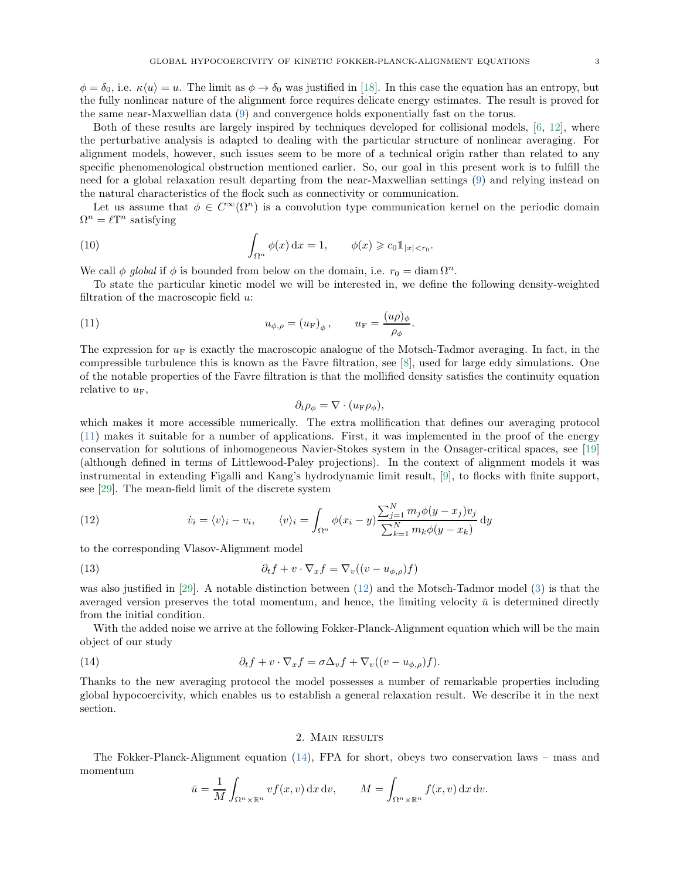$\phi = \delta_0$ , i.e.  $\kappa \langle u \rangle = u$ . The limit as  $\phi \to \delta_0$  was justified in [\[18\]](#page-19-15). In this case the equation has an entropy, but the fully nonlinear nature of the alignment force requires delicate energy estimates. The result is proved for the same near-Maxwellian data [\(9\)](#page-1-2) and convergence holds exponentially fast on the torus.

Both of these results are largely inspired by techniques developed for collisional models, [\[6,](#page-18-5) [12\]](#page-19-16), where the perturbative analysis is adapted to dealing with the particular structure of nonlinear averaging. For alignment models, however, such issues seem to be more of a technical origin rather than related to any specific phenomenological obstruction mentioned earlier. So, our goal in this present work is to fulfill the need for a global relaxation result departing from the near-Maxwellian settings [\(9\)](#page-1-2) and relying instead on the natural characteristics of the flock such as connectivity or communication.

Let us assume that  $\phi \in C^{\infty}(\Omega^n)$  is a convolution type communication kernel on the periodic domain  $\Omega^n = \ell \mathbb{T}^n$  satisfying

<span id="page-2-3"></span>(10) 
$$
\int_{\Omega^n} \phi(x) dx = 1, \qquad \phi(x) \geqslant c_0 1_{|x| < r_0}.
$$

We call  $\phi$  *global* if  $\phi$  is bounded from below on the domain, i.e.  $r_0 = \text{diam } \Omega^n$ .

To state the particular kinetic model we will be interested in, we define the following density-weighted filtration of the macroscopic field  $u$ :

(11) 
$$
u_{\phi,\rho} = (u_{\mathcal{F}})_{\phi}, \qquad u_{\mathcal{F}} = \frac{(u\rho)_{\phi}}{\rho_{\phi}}.
$$

The expression for  $u_F$  is exactly the macroscopic analogue of the Motsch-Tadmor averaging. In fact, in the compressible turbulence this is known as the Favre filtration, see [\[8\]](#page-18-6), used for large eddy simulations. One of the notable properties of the Favre filtration is that the mollified density satisfies the continuity equation relative to  $u_F$ ,

<span id="page-2-4"></span><span id="page-2-0"></span>
$$
\partial_t \rho_{\phi} = \nabla \cdot (u_{\mathrm{F}} \rho_{\phi}),
$$

which makes it more accessible numerically. The extra mollification that defines our averaging protocol [\(11\)](#page-2-0) makes it suitable for a number of applications. First, it was implemented in the proof of the energy conservation for solutions of inhomogeneous Navier-Stokes system in the Onsager-critical spaces, see [\[19\]](#page-19-17) (although defined in terms of Littlewood-Paley projections). In the context of alignment models it was instrumental in extending Figalli and Kang's hydrodynamic limit result, [\[9\]](#page-18-7), to flocks with finite support, see [\[29\]](#page-19-6). The mean-field limit of the discrete system

<span id="page-2-1"></span>(12) 
$$
\dot{v}_i = \langle v \rangle_i - v_i, \qquad \langle v \rangle_i = \int_{\Omega^n} \phi(x_i - y) \frac{\sum_{j=1}^N m_j \phi(y - x_j) v_j}{\sum_{k=1}^N m_k \phi(y - x_k)} dy
$$

to the corresponding Vlasov-Alignment model

(13) 
$$
\partial_t f + v \cdot \nabla_x f = \nabla_v ((v - u_{\phi, \rho}) f)
$$

was also justified in [\[29\]](#page-19-6). A notable distinction between [\(12\)](#page-2-1) and the Motsch-Tadmor model [\(3\)](#page-1-3) is that the averaged version preserves the total momentum, and hence, the limiting velocity  $\bar{u}$  is determined directly from the initial condition.

With the added noise we arrive at the following Fokker-Planck-Alignment equation which will be the main object of our study

(14) 
$$
\partial_t f + v \cdot \nabla_x f = \sigma \Delta_v f + \nabla_v ((v - u_{\phi, \rho}) f).
$$

Thanks to the new averaging protocol the model possesses a number of remarkable properties including global hypocoercivity, which enables us to establish a general relaxation result. We describe it in the next section.

#### <span id="page-2-2"></span>2. Main results

The Fokker-Planck-Alignment equation [\(14\)](#page-2-2), FPA for short, obeys two conservation laws – mass and momentum

$$
\bar{u} = \frac{1}{M} \int_{\Omega^n \times \mathbb{R}^n} v f(x, v) \, dx \, dv, \qquad M = \int_{\Omega^n \times \mathbb{R}^n} f(x, v) \, dx \, dv.
$$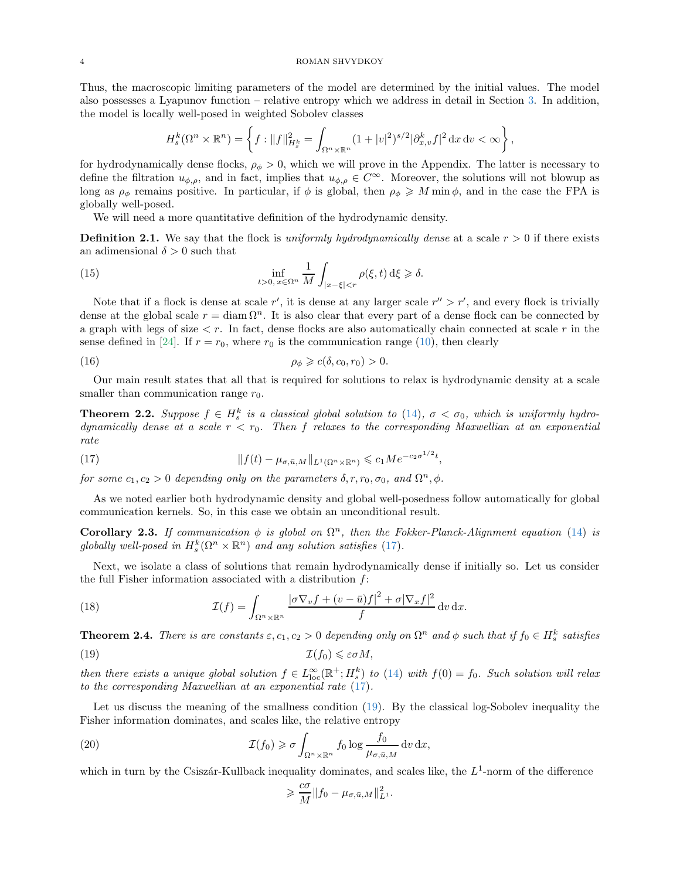Thus, the macroscopic limiting parameters of the model are determined by the initial values. The model also possesses a Lyapunov function – relative entropy which we address in detail in Section [3.](#page-4-0) In addition, the model is locally well-posed in weighted Sobolev classes

<span id="page-3-5"></span>
$$
H_s^k(\Omega^n \times \mathbb{R}^n) = \left\{ f : \|f\|_{H_s^k}^2 = \int_{\Omega^n \times \mathbb{R}^n} (1+|v|^2)^{s/2} |\partial_{x,v}^k f|^2 \, \mathrm{d}x \, \mathrm{d}v < \infty \right\},
$$

for hydrodynamically dense flocks,  $\rho_{\phi} > 0$ , which we will prove in the Appendix. The latter is necessary to define the filtration  $u_{\phi,\rho}$ , and in fact, implies that  $u_{\phi,\rho} \in C^{\infty}$ . Moreover, the solutions will not blowup as long as  $\rho_{\phi}$  remains positive. In particular, if  $\phi$  is global, then  $\rho_{\phi} \geq M \min \phi$ , and in the case the FPA is globally well-posed.

We will need a more quantitative definition of the hydrodynamic density.

<span id="page-3-6"></span>**Definition 2.1.** We say that the flock is *uniformly hydrodynamically dense* at a scale  $r > 0$  if there exists an adimensional  $\delta > 0$  such that

(15) 
$$
\inf_{t>0, x \in \Omega^n} \frac{1}{M} \int_{|x-\xi| < r} \rho(\xi, t) \, d\xi \geq \delta.
$$

Note that if a flock is dense at scale r', it is dense at any larger scale  $r'' > r'$ , and every flock is trivially dense at the global scale  $r = \text{diam }\Omega^n$ . It is also clear that every part of a dense flock can be connected by a graph with legs of size  $\lt r$ . In fact, dense flocks are also automatically chain connected at scale r in the sense defined in [\[24\]](#page-19-11). If  $r = r_0$ , where  $r_0$  is the communication range [\(10\)](#page-2-3), then clearly

<span id="page-3-4"></span>(16) 
$$
\rho_{\phi} \geqslant c(\delta, c_0, r_0) > 0.
$$

Our main result states that all that is required for solutions to relax is hydrodynamic density at a scale smaller than communication range  $r_0$ .

<span id="page-3-2"></span>**Theorem 2.2.** Suppose  $f \in H_s^k$  is a classical global solution to [\(14\)](#page-2-2),  $\sigma < \sigma_0$ , which is uniformly hydro*dynamically dense at a scale* r < r0*. Then* f *relaxes to the corresponding Maxwellian at an exponential rate*

<span id="page-3-0"></span>(17) 
$$
||f(t) - \mu_{\sigma,\bar{u},M}||_{L^1(\Omega^n \times \mathbb{R}^n)} \leqslant c_1 Me^{-c_2 \sigma^{1/2}t},
$$

*for some*  $c_1, c_2 > 0$  *depending only on the parameters*  $\delta, r, r_0, \sigma_0$ , and  $\Omega^n, \phi$ .

As we noted earlier both hydrodynamic density and global well-posedness follow automatically for global communication kernels. So, in this case we obtain an unconditional result.

Corollary 2.3. If communication  $\phi$  is global on  $\Omega^n$ , then the Fokker-Planck-Alignment equation [\(14\)](#page-2-2) is globally well-posed in  $H_s^k(\Omega^n \times \mathbb{R}^n)$  and any solution satisfies [\(17\)](#page-3-0).

Next, we isolate a class of solutions that remain hydrodynamically dense if initially so. Let us consider the full Fisher information associated with a distribution f:

(18) 
$$
\mathcal{I}(f) = \int_{\Omega^n \times \mathbb{R}^n} \frac{|\sigma \nabla_v f + (v - \bar{u})f|^2 + \sigma |\nabla_x f|^2}{f} dv dx.
$$

<span id="page-3-3"></span>**Theorem 2.4.** *There is are constants*  $\varepsilon$ ,  $c_1$ ,  $c_2 > 0$  *depending only on*  $\Omega^n$  *and*  $\phi$  *such that if*  $f_0 \in H_s^k$  *satisfies* (19)  $\mathcal{I}(f_0) \leq \varepsilon \sigma M$ ,

*then there exists a unique global solution*  $f \in L^{\infty}_{loc}(\mathbb{R}^+; H^k_s)$  *to* [\(14\)](#page-2-2) *with*  $f(0) = f_0$ *. Such solution will relax to the corresponding Maxwellian at an exponential rate* [\(17\)](#page-3-0)*.*

Let us discuss the meaning of the smallness condition [\(19\)](#page-3-1). By the classical log-Sobolev inequality the Fisher information dominates, and scales like, the relative entropy

(20) 
$$
\mathcal{I}(f_0) \geq \sigma \int_{\Omega^n \times \mathbb{R}^n} f_0 \log \frac{f_0}{\mu_{\sigma, \bar{u}, M}} dv dx,
$$

which in turn by the Csiszár-Kullback inequality dominates, and scales like, the  $L^1$ -norm of the difference

<span id="page-3-7"></span><span id="page-3-1"></span>
$$
\geqslant \frac{c\sigma}{M} \|f_0 - \mu_{\sigma,\bar u,M}\|_{L^1}^2.
$$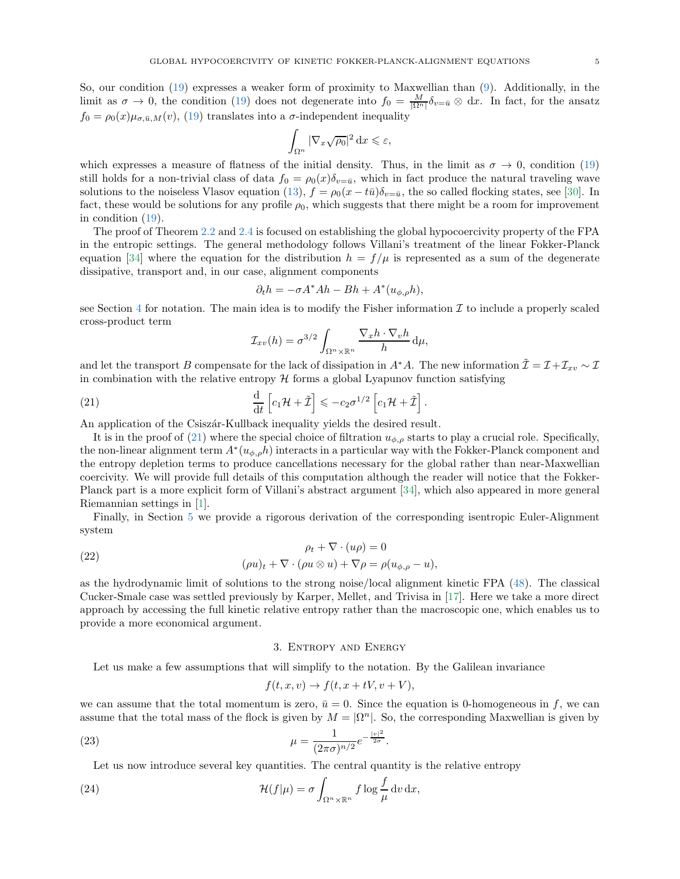So, our condition [\(19\)](#page-3-1) expresses a weaker form of proximity to Maxwellian than [\(9\)](#page-1-2). Additionally, in the limit as  $\sigma \to 0$ , the condition [\(19\)](#page-3-1) does not degenerate into  $f_0 = \frac{M}{|\Omega^n|} \delta_{v=\bar{u}} \otimes dx$ . In fact, for the ansatz  $f_0 = \rho_0(x)\mu_{\sigma,\bar{u},M}(v)$ , [\(19\)](#page-3-1) translates into a  $\sigma$ -independent inequality

$$
\int_{\Omega^n} |\nabla_x \sqrt{\rho_0}|^2 \, \mathrm{d}x \leqslant \varepsilon,
$$

which expresses a measure of flatness of the initial density. Thus, in the limit as  $\sigma \to 0$ , condition [\(19\)](#page-3-1) still holds for a non-trivial class of data  $f_0 = \rho_0(x)\delta_{v=\bar{u}}$ , which in fact produce the natural traveling wave solutions to the noiseless Vlasov equation [\(13\)](#page-2-4),  $f = \rho_0(x - t\bar{u})\delta_{v=\bar{u}}$ , the so called flocking states, see [\[30\]](#page-19-18). In fact, these would be solutions for any profile  $\rho_0$ , which suggests that there might be a room for improvement in condition [\(19\)](#page-3-1).

The proof of Theorem [2.2](#page-3-2) and [2.4](#page-3-3) is focused on establishing the global hypocoercivity property of the FPA in the entropic settings. The general methodology follows Villani's treatment of the linear Fokker-Planck equation [\[34\]](#page-19-13) where the equation for the distribution  $h = f/\mu$  is represented as a sum of the degenerate dissipative, transport and, in our case, alignment components

$$
\partial_t h = -\sigma A^* A h - B h + A^*(u_{\phi,\rho} h),
$$

see Section [4](#page-6-0) for notation. The main idea is to modify the Fisher information  $\mathcal I$  to include a properly scaled cross-product term

<span id="page-4-1"></span>
$$
\mathcal{I}_{xv}(h) = \sigma^{3/2} \int_{\Omega^n \times \mathbb{R}^n} \frac{\nabla_x h \cdot \nabla_v h}{h} d\mu,
$$

and let the transport B compensate for the lack of dissipation in  $A^*A$ . The new information  $\tilde{\mathcal{I}} = \mathcal{I} + \mathcal{I}_{xv} \sim \mathcal{I}$ in combination with the relative entropy  $\mathcal H$  forms a global Lyapunov function satisfying

(21) 
$$
\frac{\mathrm{d}}{\mathrm{d}t}\left[c_1\mathcal{H}+\tilde{\mathcal{I}}\right] \leqslant -c_2\sigma^{1/2}\left[c_1\mathcal{H}+\tilde{\mathcal{I}}\right].
$$

An application of the Csiszan-Kullback inequality yields the desired result.

It is in the proof of [\(21\)](#page-4-1) where the special choice of filtration  $u_{\phi,\rho}$  starts to play a crucial role. Specifically, the non-linear alignment term  $A^*(u_{\phi,\rho}h)$  interacts in a particular way with the Fokker-Planck component and the entropy depletion terms to produce cancellations necessary for the global rather than near-Maxwellian coercivity. We will provide full details of this computation although the reader will notice that the Fokker-Planck part is a more explicit form of Villani's abstract argument [\[34\]](#page-19-13), which also appeared in more general Riemannian settings in [\[1\]](#page-18-8).

Finally, in Section [5](#page-12-0) we provide a rigorous derivation of the corresponding isentropic Euler-Alignment system

(22) 
$$
\rho_t + \nabla \cdot (u\rho) = 0
$$

$$
(\rho u)_t + \nabla \cdot (\rho u \otimes u) + \nabla \rho = \rho (u_{\phi, \rho} - u)
$$

as the hydrodynamic limit of solutions to the strong noise/local alignment kinetic FPA [\(48\)](#page-12-1). The classical Cucker-Smale case was settled previously by Karper, Mellet, and Trivisa in [\[17\]](#page-19-19). Here we take a more direct approach by accessing the full kinetic relative entropy rather than the macroscopic one, which enables us to provide a more economical argument.

# 3. Entropy and Energy

<span id="page-4-0"></span>Let us make a few assumptions that will simplify to the notation. By the Galilean invariance

<span id="page-4-2"></span>
$$
f(t, x, v) \to f(t, x + tV, v + V),
$$

we can assume that the total momentum is zero,  $\bar{u} = 0$ . Since the equation is 0-homogeneous in f, we can assume that the total mass of the flock is given by  $M = |\Omega^n|$ . So, the corresponding Maxwellian is given by

(23) 
$$
\mu = \frac{1}{(2\pi\sigma)^{n/2}}e^{-\frac{|v|^2}{2\sigma}}.
$$

Let us now introduce several key quantities. The central quantity is the relative entropy

(24) 
$$
\mathcal{H}(f|\mu) = \sigma \int_{\Omega^n \times \mathbb{R}^n} f \log \frac{f}{\mu} dv dx,
$$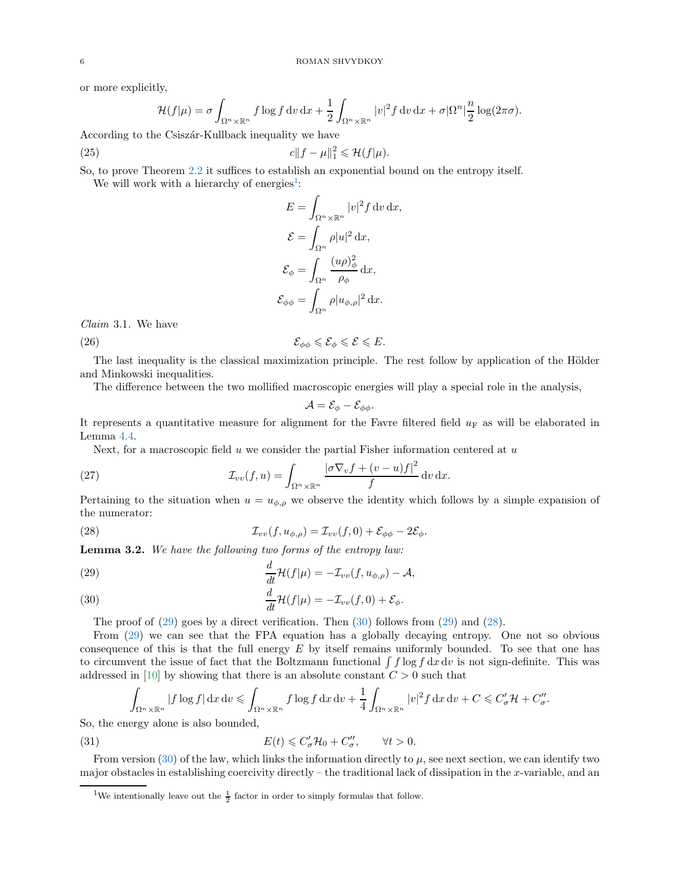or more explicitly,

$$
\mathcal{H}(f|\mu) = \sigma \int_{\Omega^n \times \mathbb{R}^n} f \log f \, dv \, dx + \frac{1}{2} \int_{\Omega^n \times \mathbb{R}^n} |v|^2 f \, dv \, dx + \sigma |\Omega^n| \frac{n}{2} \log(2\pi\sigma).
$$

According to the Csiszár-Kullback inequality we have

(25) 
$$
c\|f - \mu\|_1^2 \leq \mathcal{H}(f|\mu).
$$

So, to prove Theorem [2.2](#page-3-2) it suffices to establish an exponential bound on the entropy itself.

We will work with a hierarchy of energies<sup>[1](#page-5-0)</sup>:

$$
E = \int_{\Omega^n \times \mathbb{R}^n} |v|^2 f \, dv \, dx,
$$
  

$$
\mathcal{E} = \int_{\Omega^n} \rho |u|^2 \, dx,
$$
  

$$
\mathcal{E}_{\phi} = \int_{\Omega^n} \frac{(u\rho)_{\phi}^2}{\rho_{\phi}} \, dx,
$$
  

$$
\mathcal{E}_{\phi\phi} = \int_{\Omega^n} \rho |u_{\phi,\rho}|^2 \, dx.
$$

*Claim* 3.1*.* We have

(26)  $\mathcal{E}_{\phi\phi} \leqslant \mathcal{E}_{\phi} \leqslant \mathcal{E}_{\phi} \leqslant \mathcal{E} \leqslant E.$ 

The last inequality is the classical maximization principle. The rest follow by application of the Hölder and Minkowski inequalities.

The difference between the two mollified macroscopic energies will play a special role in the analysis,

<span id="page-5-4"></span><span id="page-5-3"></span>
$$
\mathcal{A}=\mathcal{E}_{\phi}-\mathcal{E}_{\phi\phi}.
$$

It represents a quantitative measure for alignment for the Favre filtered field  $u_F$  as will be elaborated in Lemma [4.4.](#page-10-0)

Next, for a macroscopic field  $u$  we consider the partial Fisher information centered at  $u$ 

(27) 
$$
\mathcal{I}_{vv}(f,u) = \int_{\Omega^n \times \mathbb{R}^n} \frac{|\sigma \nabla_v f + (v - u)f|^2}{f} dv dx.
$$

Pertaining to the situation when  $u = u_{\phi,\rho}$  we observe the identity which follows by a simple expansion of the numerator:

(28) 
$$
\mathcal{I}_{vv}(f, u_{\phi,\rho}) = \mathcal{I}_{vv}(f,0) + \mathcal{E}_{\phi\phi} - 2\mathcal{E}_{\phi}.
$$

Lemma 3.2. *We have the following two forms of the entropy law:*

<span id="page-5-1"></span>(29) 
$$
\frac{d}{dt} \mathcal{H}(f|\mu) = -\mathcal{I}_{vv}(f, u_{\phi,\rho}) - \mathcal{A},
$$

<span id="page-5-2"></span>(30) 
$$
\frac{d}{dt}\mathcal{H}(f|\mu) = -\mathcal{I}_{vv}(f,0) + \mathcal{E}_{\phi}.
$$

The proof of  $(29)$  goes by a direct verification. Then  $(30)$  follows from  $(29)$  and  $(28)$ .

From [\(29\)](#page-5-1) we can see that the FPA equation has a globally decaying entropy. One not so obvious consequence of this is that the full energy  $E$  by itself remains uniformly bounded. To see that one has to circumvent the issue of fact that the Boltzmann functional  $\int f \log f \, dx \, dv$  is not sign-definite. This was addressed in [\[10\]](#page-18-9) by showing that there is an absolute constant  $C > 0$  such that

<span id="page-5-5"></span>
$$
\int_{\Omega^n \times \mathbb{R}^n} |f \log f| \, \mathrm{d}x \, \mathrm{d}v \leqslant \int_{\Omega^n \times \mathbb{R}^n} f \log f \, \mathrm{d}x \, \mathrm{d}v + \frac{1}{4} \int_{\Omega^n \times \mathbb{R}^n} |v|^2 f \, \mathrm{d}x \, \mathrm{d}v + C \leqslant C'_{\sigma} \mathcal{H} + C''_{\sigma}.
$$

So, the energy alone is also bounded,

(31) 
$$
E(t) \leq C'_{\sigma} \mathcal{H}_0 + C''_{\sigma}, \qquad \forall t > 0.
$$

From version [\(30\)](#page-5-2) of the law, which links the information directly to  $\mu$ , see next section, we can identify two major obstacles in establishing coercivity directly – the traditional lack of dissipation in the x-variable, and an

<span id="page-5-0"></span><sup>&</sup>lt;sup>1</sup>We intentionally leave out the  $\frac{1}{2}$  factor in order to simply formulas that follow.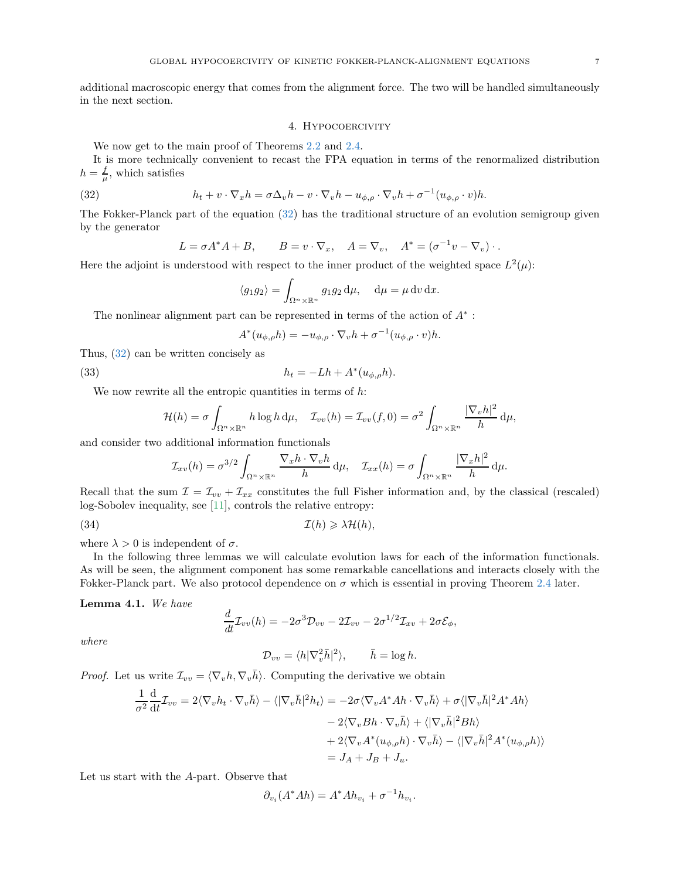<span id="page-6-0"></span>additional macroscopic energy that comes from the alignment force. The two will be handled simultaneously in the next section.

#### 4. Hypocoercivity

We now get to the main proof of Theorems [2.2](#page-3-2) and [2.4.](#page-3-3)

It is more technically convenient to recast the FPA equation in terms of the renormalized distribution  $h = \frac{f}{\mu}$ , which satisfies

(32) 
$$
h_t + v \cdot \nabla_x h = \sigma \Delta_v h - v \cdot \nabla_v h - u_{\phi, \rho} \cdot \nabla_v h + \sigma^{-1} (u_{\phi, \rho} \cdot v) h.
$$

The Fokker-Planck part of the equation [\(32\)](#page-6-1) has the traditional structure of an evolution semigroup given by the generator

<span id="page-6-1"></span>
$$
L = \sigma A^* A + B, \qquad B = v \cdot \nabla_x, \quad A = \nabla_v, \quad A^* = (\sigma^{-1} v - \nabla_v) \cdot.
$$

Here the adjoint is understood with respect to the inner product of the weighted space  $L^2(\mu)$ :

$$
\langle g_1 g_2 \rangle = \int_{\Omega^n \times \mathbb{R}^n} g_1 g_2 \, \mathrm{d}\mu, \quad \mathrm{d}\mu = \mu \, \mathrm{d}v \, \mathrm{d}x.
$$

The nonlinear alignment part can be represented in terms of the action of  $A^*$ :

$$
A^*(u_{\phi,\rho}h) = -u_{\phi,\rho} \cdot \nabla_v h + \sigma^{-1}(u_{\phi,\rho} \cdot v)h.
$$

Thus, [\(32\)](#page-6-1) can be written concisely as

(33) 
$$
h_t = -Lh + A^*(u_{\phi,\rho}h).
$$

We now rewrite all the entropic quantities in terms of  $h$ :

$$
\mathcal{H}(h) = \sigma \int_{\Omega^n \times \mathbb{R}^n} h \log h \, \mathrm{d}\mu, \quad \mathcal{I}_{vv}(h) = \mathcal{I}_{vv}(f, 0) = \sigma^2 \int_{\Omega^n \times \mathbb{R}^n} \frac{|\nabla_v h|^2}{h} \, \mathrm{d}\mu,
$$

and consider two additional information functionals

$$
\mathcal{I}_{xv}(h) = \sigma^{3/2} \int_{\Omega^n \times \mathbb{R}^n} \frac{\nabla_x h \cdot \nabla_v h}{h} d\mu, \quad \mathcal{I}_{xx}(h) = \sigma \int_{\Omega^n \times \mathbb{R}^n} \frac{|\nabla_x h|^2}{h} d\mu.
$$

Recall that the sum  $\mathcal{I} = \mathcal{I}_{vv} + \mathcal{I}_{xx}$  constitutes the full Fisher information and, by the classical (rescaled) log-Sobolev inequality, see [\[11\]](#page-18-10), controls the relative entropy:

(34) 
$$
\mathcal{I}(h) \geq \lambda \mathcal{H}(h),
$$

where  $\lambda > 0$  is independent of  $\sigma$ .

In the following three lemmas we will calculate evolution laws for each of the information functionals. As will be seen, the alignment component has some remarkable cancellations and interacts closely with the Fokker-Planck part. We also protocol dependence on  $\sigma$  which is essential in proving Theorem [2.4](#page-3-3) later.

Lemma 4.1. *We have*

<span id="page-6-2"></span>
$$
\frac{d}{dt}\mathcal{I}_{vv}(h) = -2\sigma^3 \mathcal{D}_{vv} - 2\mathcal{I}_{vv} - 2\sigma^{1/2} \mathcal{I}_{xv} + 2\sigma \mathcal{E}_{\phi},
$$

*where*

$$
\mathcal{D}_{vv} = \langle h | \nabla_v^2 \bar{h} |^2 \rangle, \qquad \bar{h} = \log h.
$$

*Proof.* Let us write  $\mathcal{I}_{vv} = \langle \nabla_v h, \nabla_v \overline{h} \rangle$ . Computing the derivative we obtain

$$
\frac{1}{\sigma^2} \frac{d}{dt} \mathcal{I}_{vv} = 2 \langle \nabla_v h_t \cdot \nabla_v \bar{h} \rangle - \langle |\nabla_v \bar{h}|^2 h_t \rangle = -2\sigma \langle \nabla_v A^* A h \cdot \nabla_v \bar{h} \rangle + \sigma \langle |\nabla_v \bar{h}|^2 A^* A h \rangle \n- 2 \langle \nabla_v B h \cdot \nabla_v \bar{h} \rangle + \langle |\nabla_v \bar{h}|^2 B h \rangle \n+ 2 \langle \nabla_v A^* (u_{\phi,\rho} h) \cdot \nabla_v \bar{h} \rangle - \langle |\nabla_v \bar{h}|^2 A^* (u_{\phi,\rho} h) \rangle \n= J_A + J_B + J_u.
$$

Let us start with the A-part. Observe that

$$
\partial_{v_i}(A^*Ah) = A^*Ah_{v_i} + \sigma^{-1}h_{v_i}.
$$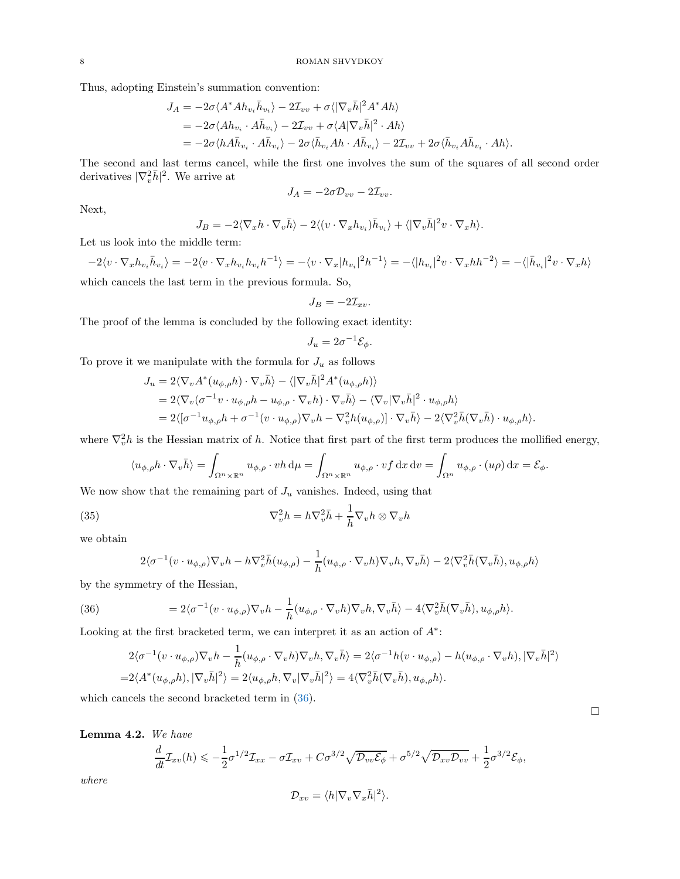Thus, adopting Einstein's summation convention:

$$
J_A = -2\sigma \langle A^* A h_{v_i} \bar{h}_{v_i} \rangle - 2\mathcal{I}_{vv} + \sigma \langle |\nabla_v \bar{h}|^2 A^* A h \rangle
$$
  
=  $-2\sigma \langle Ah_{v_i} \cdot A \bar{h}_{v_i} \rangle - 2\mathcal{I}_{vv} + \sigma \langle A | \nabla_v \bar{h} |^2 \cdot Ah \rangle$   
=  $-2\sigma \langle h A \bar{h}_{v_i} \cdot A \bar{h}_{v_i} \rangle - 2\sigma \langle \bar{h}_{v_i} Ah \cdot A \bar{h}_{v_i} \rangle - 2\mathcal{I}_{vv} + 2\sigma \langle \bar{h}_{v_i} A \bar{h}_{v_i} \cdot Ah \rangle.$ 

The second and last terms cancel, while the first one involves the sum of the squares of all second order derivatives  $|\nabla_v^2 \bar{h}|^2$ . We arrive at

$$
J_A = -2\sigma \mathcal{D}_{vv} - 2\mathcal{I}_{vv}.
$$

Next,

$$
J_B = -2\langle \nabla_x h \cdot \nabla_v \bar{h} \rangle - 2\langle (v \cdot \nabla_x h_{v_i}) \bar{h}_{v_i} \rangle + \langle |\nabla_v \bar{h}|^2 v \cdot \nabla_x h \rangle.
$$

Let us look into the middle term:

$$
-2\langle v \cdot \nabla_x h_{v_i} \bar{h}_{v_i} \rangle = -2\langle v \cdot \nabla_x h_{v_i} h_{v_i} h^{-1} \rangle = -\langle v \cdot \nabla_x |h_{v_i}|^2 h^{-1} \rangle = -\langle |h_{v_i}|^2 v \cdot \nabla_x h h^{-2} \rangle = -\langle |\bar{h}_{v_i}|^2 v \cdot \nabla_x h \rangle
$$
 which cancels the last term in the previous formula. So,

$$
J_B = -2\mathcal{I}_{xv}.
$$

The proof of the lemma is concluded by the following exact identity:

$$
J_u = 2\sigma^{-1} \mathcal{E}_{\phi}.
$$

To prove it we manipulate with the formula for  $J_u$  as follows

$$
J_u = 2\langle \nabla_v A^*(u_{\phi,\rho}h) \cdot \nabla_v \bar{h} \rangle - \langle |\nabla_v \bar{h}|^2 A^*(u_{\phi,\rho}h) \rangle
$$
  
=  $2\langle \nabla_v (\sigma^{-1}v \cdot u_{\phi,\rho}h - u_{\phi,\rho} \cdot \nabla_v h) \cdot \nabla_v \bar{h} \rangle - \langle \nabla_v |\nabla_v \bar{h}|^2 \cdot u_{\phi,\rho}h \rangle$   
=  $2\langle [\sigma^{-1}u_{\phi,\rho}h + \sigma^{-1}(v \cdot u_{\phi,\rho})\nabla_v h - \nabla_v^2 h(u_{\phi,\rho})] \cdot \nabla_v \bar{h} \rangle - 2\langle \nabla_v^2 \bar{h}(\nabla_v \bar{h}) \cdot u_{\phi,\rho}h \rangle.$ 

where  $\nabla_v^2 h$  is the Hessian matrix of h. Notice that first part of the first term produces the mollified energy,

$$
\langle u_{\phi,\rho}h \cdot \nabla_v \bar{h} \rangle = \int_{\Omega^n \times \mathbb{R}^n} u_{\phi,\rho} \cdot vh \, \mathrm{d}\mu = \int_{\Omega^n \times \mathbb{R}^n} u_{\phi,\rho} \cdot vf \, \mathrm{d}x \, \mathrm{d}v = \int_{\Omega^n} u_{\phi,\rho} \cdot (u\rho) \, \mathrm{d}x = \mathcal{E}_{\phi}.
$$

We now show that the remaining part of  $J_u$  vanishes. Indeed, using that

(35) 
$$
\nabla_v^2 h = h \nabla_v^2 \bar{h} + \frac{1}{h} \nabla_v h \otimes \nabla_v h
$$

we obtain

<span id="page-7-0"></span>
$$
2\langle \sigma^{-1}(v \cdot u_{\phi,\rho})\nabla_v h - h\nabla_v^2 \bar{h}(u_{\phi,\rho}) - \frac{1}{h}(u_{\phi,\rho} \cdot \nabla_v h)\nabla_v h, \nabla_v \bar{h}\rangle - 2\langle \nabla_v^2 \bar{h}(\nabla_v \bar{h}), u_{\phi,\rho} h\rangle
$$

by the symmetry of the Hessian,

(36) 
$$
= 2\langle \sigma^{-1}(v \cdot u_{\phi,\rho}) \nabla_v h - \frac{1}{h}(u_{\phi,\rho} \cdot \nabla_v h) \nabla_v h, \nabla_v \bar{h} \rangle - 4\langle \nabla_v^2 \bar{h}(\nabla_v \bar{h}), u_{\phi,\rho} h \rangle.
$$

Looking at the first bracketed term, we can interpret it as an action of  $A^*$ :

$$
2\langle \sigma^{-1}(v \cdot u_{\phi,\rho})\nabla_v h - \frac{1}{h}(u_{\phi,\rho} \cdot \nabla_v h)\nabla_v h, \nabla_v \bar{h}\rangle = 2\langle \sigma^{-1}h(v \cdot u_{\phi,\rho}) - h(u_{\phi,\rho} \cdot \nabla_v h), |\nabla_v \bar{h}|^2\rangle
$$
  
=2\langle A^\*(u\_{\phi,\rho}h), |\nabla\_v \bar{h}|^2\rangle = 2\langle u\_{\phi,\rho}h, \nabla\_v |\nabla\_v \bar{h}|^2\rangle = 4\langle \nabla\_v^2 \bar{h}(\nabla\_v \bar{h}), u\_{\phi,\rho}h\rangle.

which cancels the second bracketed term in [\(36\)](#page-7-0).

Lemma 4.2. *We have*

$$
\frac{d}{dt}\mathcal{I}_{xv}(h) \leqslant -\frac{1}{2}\sigma^{1/2}\mathcal{I}_{xx} - \sigma\mathcal{I}_{xv} + C\sigma^{3/2}\sqrt{\mathcal{D}_{vv}\mathcal{E}_{\phi}} + \sigma^{5/2}\sqrt{\mathcal{D}_{xv}\mathcal{D}_{vv}} + \frac{1}{2}\sigma^{3/2}\mathcal{E}_{\phi},
$$

*where*

$$
\mathcal{D}_{xv} = \langle h|\nabla_v \nabla_x \bar{h}|^2 \rangle.
$$

 $\Box$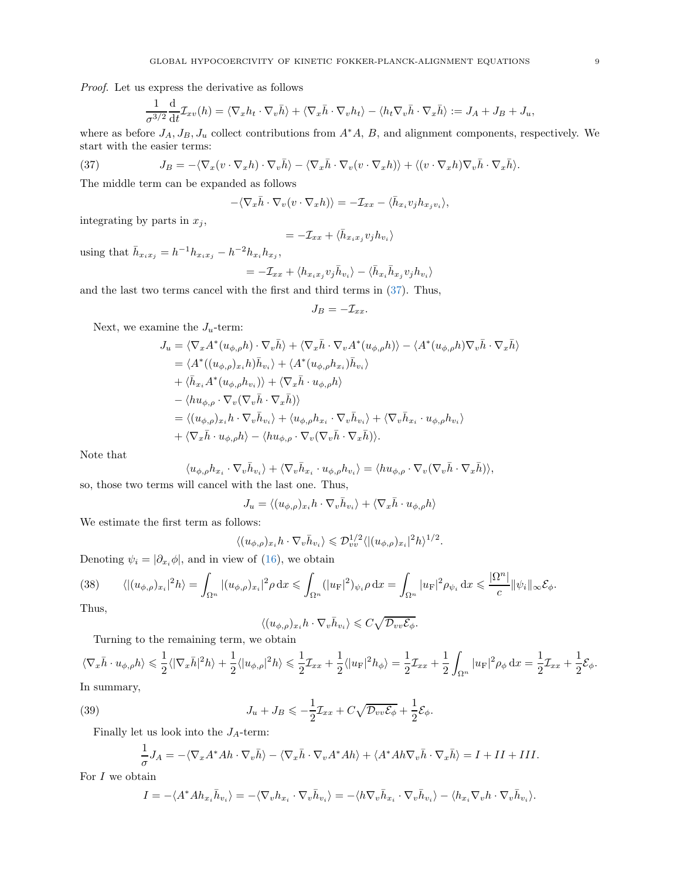*Proof.* Let us express the derivative as follows

<span id="page-8-0"></span>
$$
\frac{1}{\sigma^{3/2}}\frac{\mathrm{d}}{\mathrm{d}t}\mathcal{I}_{xv}(h)=\langle\nabla_xh_t\cdot\nabla_v\bar{h}\rangle+\langle\nabla_x\bar{h}\cdot\nabla_vh_t\rangle-\langle h_t\nabla_v\bar{h}\cdot\nabla_x\bar{h}\rangle:=J_A+J_B+J_u,
$$

where as before  $J_A$ ,  $J_B$ ,  $J_u$  collect contributions from  $A^*A$ , B, and alignment components, respectively. We start with the easier terms:

(37) 
$$
J_B = -\langle \nabla_x (v \cdot \nabla_x h) \cdot \nabla_v \bar{h} \rangle - \langle \nabla_x \bar{h} \cdot \nabla_v (v \cdot \nabla_x h) \rangle + \langle (v \cdot \nabla_x h) \nabla_v \bar{h} \cdot \nabla_x \bar{h} \rangle.
$$

The middle term can be expanded as follows

$$
-\langle \nabla_x \bar{h} \cdot \nabla_v (v \cdot \nabla_x h) \rangle = -\mathcal{I}_{xx} - \langle \bar{h}_{x_i} v_j h_{x_j v_i} \rangle,
$$

integrating by parts in  $x_j$ ,

$$
= -\mathcal{I}_{xx} + \langle \bar{h}_{x_ix_j} v_j h_{v_i} \rangle
$$

using that  $\bar{h}_{x_i x_j} = h^{-1} h_{x_i x_j} - h^{-2} h_{x_i} h_{x_j},$ 

$$
= -\mathcal{I}_{xx} + \langle h_{x_ix_j}v_j\bar{h}_{v_i}\rangle - \langle \bar{h}_{x_i}\bar{h}_{x_j}v_jh_{v_i}\rangle
$$

and the last two terms cancel with the first and third terms in [\(37\)](#page-8-0). Thus,

$$
J_B=-\mathcal{I}_{xx}.
$$

Next, we examine the  $J_u$ -term:

$$
J_u = \langle \nabla_x A^*(u_{\phi,\rho}h) \cdot \nabla_v \bar{h} \rangle + \langle \nabla_x \bar{h} \cdot \nabla_v A^*(u_{\phi,\rho}h) \rangle - \langle A^*(u_{\phi,\rho}h) \nabla_v \bar{h} \cdot \nabla_x \bar{h} \rangle
$$
  
\n
$$
= \langle A^*( (u_{\phi,\rho})_{x_i} h) \bar{h}_{v_i} \rangle + \langle A^*(u_{\phi,\rho}h_{x_i}) \bar{h}_{v_i} \rangle
$$
  
\n
$$
+ \langle \bar{h}_{x_i} A^*(u_{\phi,\rho}h_{v_i}) \rangle + \langle \nabla_x \bar{h} \cdot u_{\phi,\rho}h \rangle
$$
  
\n
$$
- \langle h u_{\phi,\rho} \cdot \nabla_v (\nabla_v \bar{h} \cdot \nabla_x \bar{h}) \rangle
$$
  
\n
$$
= \langle (u_{\phi,\rho})_{x_i} h \cdot \nabla_v \bar{h}_{v_i} \rangle + \langle u_{\phi,\rho}h_{x_i} \cdot \nabla_v \bar{h}_{v_i} \rangle + \langle \nabla_v \bar{h}_{x_i} \cdot u_{\phi,\rho}h_{v_i} \rangle
$$
  
\n
$$
+ \langle \nabla_x \bar{h} \cdot u_{\phi,\rho}h \rangle - \langle h u_{\phi,\rho} \cdot \nabla_v (\nabla_v \bar{h} \cdot \nabla_x \bar{h}) \rangle.
$$

Note that

$$
\langle u_{\phi,\rho}h_{x_i}\cdot\nabla_v\bar{h}_{v_i}\rangle+\langle\nabla_v\bar{h}_{x_i}\cdot u_{\phi,\rho}h_{v_i}\rangle=\langle hu_{\phi,\rho}\cdot\nabla_v(\nabla_v\bar{h}\cdot\nabla_x\bar{h})\rangle,
$$

so, those two terms will cancel with the last one. Thus,

$$
J_u = \langle (u_{\phi,\rho})_{x_i} h \cdot \nabla_v \bar{h}_{v_i} \rangle + \langle \nabla_x \bar{h} \cdot u_{\phi,\rho} h \rangle
$$

We estimate the first term as follows:

$$
\langle (u_{\phi,\rho})_{x_i} h \cdot \nabla_v \bar{h}_{v_i} \rangle \leq \mathcal{D}_{vv}^{1/2} \langle | (u_{\phi,\rho})_{x_i} |^2 h \rangle^{1/2}.
$$

Denoting  $\psi_i = |\partial_{x_i} \phi|$ , and in view of [\(16\)](#page-3-4), we obtain

<span id="page-8-1"></span>(38) 
$$
\langle |(u_{\phi,\rho})_{x_i}|^2 h \rangle = \int_{\Omega^n} |(u_{\phi,\rho})_{x_i}|^2 \rho \,dx \le \int_{\Omega^n} (|u_F|^2)_{\psi_i} \rho \,dx = \int_{\Omega^n} |u_F|^2 \rho_{\psi_i} \,dx \le \frac{|\Omega^n|}{c} ||\psi_i||_{\infty} \mathcal{E}_{\phi}.
$$

Thus,

$$
\langle (u_{\phi,\rho})_{x_i} h \cdot \nabla_v \bar{h}_{v_i} \rangle \leqslant C \sqrt{\mathcal{D}_{vv} \mathcal{E}_{\phi}}.
$$

Turning to the remaining term, we obtain

$$
\langle \nabla_x \bar{h} \cdot u_{\phi,\rho} h \rangle \leq \frac{1}{2} \langle |\nabla_x \bar{h}|^2 h \rangle + \frac{1}{2} \langle |u_{\phi,\rho}|^2 h \rangle \leq \frac{1}{2} \mathcal{I}_{xx} + \frac{1}{2} \langle |u_{\mathcal{F}}|^2 h_{\phi} \rangle = \frac{1}{2} \mathcal{I}_{xx} + \frac{1}{2} \int_{\Omega^n} |u_{\mathcal{F}}|^2 \rho_{\phi} \, dx = \frac{1}{2} \mathcal{I}_{xx} + \frac{1}{2} \mathcal{E}_{\phi}.
$$

In summary,

(39) 
$$
J_u + J_B \leqslant -\frac{1}{2}\mathcal{I}_{xx} + C\sqrt{\mathcal{D}_{vv}\mathcal{E}_{\phi}} + \frac{1}{2}\mathcal{E}_{\phi}.
$$

Finally let us look into the  $J_A$ -term:

$$
\frac{1}{\sigma}J_A = -\langle \nabla_x A^* A h \cdot \nabla_v \bar{h} \rangle - \langle \nabla_x \bar{h} \cdot \nabla_v A^* A h \rangle + \langle A^* A h \nabla_v \bar{h} \cdot \nabla_x \bar{h} \rangle = I + II + III.
$$

For  $I$  we obtain

$$
I = -\langle A^* A h_{x_i} \bar{h}_{v_i} \rangle = -\langle \nabla_v h_{x_i} \cdot \nabla_v \bar{h}_{v_i} \rangle = -\langle h \nabla_v \bar{h}_{x_i} \cdot \nabla_v \bar{h}_{v_i} \rangle - \langle h_{x_i} \nabla_v h \cdot \nabla_v \bar{h}_{v_i} \rangle.
$$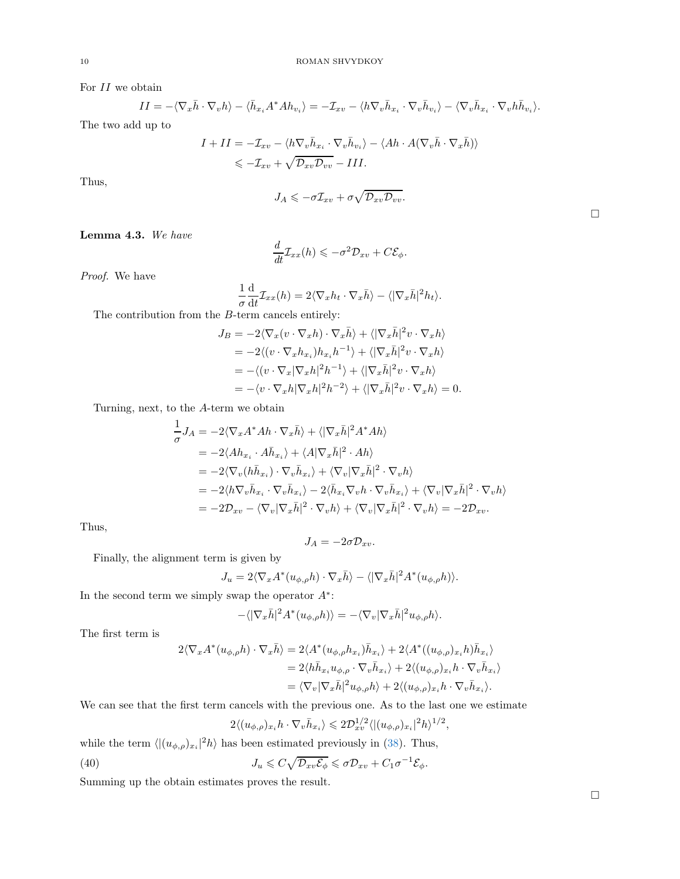For  $II$  we obtain

$$
II = -\langle \nabla_x \bar{h} \cdot \nabla_v h \rangle - \langle \bar{h}_{x_i} A^* A h_{v_i} \rangle = -\mathcal{I}_{xv} - \langle h \nabla_v \bar{h}_{x_i} \cdot \nabla_v \bar{h}_{v_i} \rangle - \langle \nabla_v \bar{h}_{x_i} \cdot \nabla_v h \bar{h}_{v_i} \rangle.
$$

The two add up to

$$
I + II = -\mathcal{I}_{xv} - \langle h \nabla_v \bar{h}_{x_i} \cdot \nabla_v \bar{h}_{v_i} \rangle - \langle Ah \cdot A(\nabla_v \bar{h} \cdot \nabla_x \bar{h}) \rangle
$$
  

$$
\leq -\mathcal{I}_{xv} + \sqrt{\mathcal{D}_{xv} \mathcal{D}_{vv}} - III.
$$

Thus,

$$
J_A \leqslant -\sigma \mathcal{I}_{xv} + \sigma \sqrt{\mathcal{D}_{xv} \mathcal{D}_{vv}}.
$$

Lemma 4.3. *We have*

$$
\frac{d}{dt}\mathcal{I}_{xx}(h) \leqslant -\sigma^2 \mathcal{D}_{xv} + C\mathcal{E}_{\phi}.
$$

*Proof.* We have

$$
\frac{1}{\sigma} \frac{d}{dt} \mathcal{I}_{xx}(h) = 2 \langle \nabla_x h_t \cdot \nabla_x \bar{h} \rangle - \langle |\nabla_x \bar{h}|^2 h_t \rangle.
$$

The contribution from the B-term cancels entirely:

$$
J_B = -2\langle \nabla_x (v \cdot \nabla_x h) \cdot \nabla_x \bar{h} \rangle + \langle |\nabla_x \bar{h}|^2 v \cdot \nabla_x h \rangle
$$
  
=  $-2\langle (v \cdot \nabla_x h_{x_i}) h_{x_i} h^{-1} \rangle + \langle |\nabla_x \bar{h}|^2 v \cdot \nabla_x h \rangle$   
=  $-\langle (v \cdot \nabla_x |\nabla_x h|^2 h^{-1}) + \langle |\nabla_x \bar{h}|^2 v \cdot \nabla_x h \rangle$   
=  $-\langle v \cdot \nabla_x h |\nabla_x h|^2 h^{-2} \rangle + \langle |\nabla_x \bar{h}|^2 v \cdot \nabla_x h \rangle = 0.$ 

Turning, next, to the A-term we obtain

$$
\begin{split} \frac{1}{\sigma}J_A&=-2\langle\nabla_x A^*Ah\cdot\nabla_x\bar{h}\rangle+\langle|\nabla_x\bar{h}|^2A^*Ah\rangle\\ &=-2\langle Ah_{x_i}\cdot A\bar{h}_{x_i}\rangle+\langle A|\nabla_x\bar{h}|^2\cdot Ah\rangle\\ &=-2\langle\nabla_v(h\bar{h}_{x_i})\cdot\nabla_v\bar{h}_{x_i}\rangle+\langle\nabla_v|\nabla_x\bar{h}|^2\cdot\nabla_vh\rangle\\ &=-2\langle h\nabla_v\bar{h}_{x_i}\cdot\nabla_v\bar{h}_{x_i}\rangle-2\langle\bar{h}_{x_i}\nabla_vh\cdot\nabla_v\bar{h}_{x_i}\rangle+\langle\nabla_v|\nabla_x\bar{h}|^2\cdot\nabla_vh\rangle\\ &=-2\mathcal{D}_{xv}-\langle\nabla_v|\nabla_x\bar{h}|^2\cdot\nabla_vh\rangle+\langle\nabla_v|\nabla_x\bar{h}|^2\cdot\nabla_vh\rangle=-2\mathcal{D}_{xv}. \end{split}
$$

Thus,

$$
J_A=-2\sigma\mathcal{D}_{xv}.
$$

Finally, the alignment term is given by

$$
J_u = 2\langle \nabla_x A^*(u_{\phi,\rho}h) \cdot \nabla_x \bar{h} \rangle - \langle |\nabla_x \bar{h}|^2 A^*(u_{\phi,\rho}h) \rangle.
$$

In the second term we simply swap the operator  $A^*$ :

$$
-\langle |\nabla_x \bar{h}|^2 A^*(u_{\phi,\rho}h)\rangle = -\langle \nabla_v |\nabla_x \bar{h}|^2 u_{\phi,\rho}h\rangle.
$$

The first term is

$$
2\langle \nabla_x A^*(u_{\phi,\rho}h)\cdot\nabla_x \bar{h}\rangle = 2\langle A^*(u_{\phi,\rho}h_{x_i})\bar{h}_{x_i}\rangle + 2\langle A^*((u_{\phi,\rho})_{x_i}h)\bar{h}_{x_i}\rangle
$$
  

$$
= 2\langle h\bar{h}_{x_i}u_{\phi,\rho}\cdot\nabla_v\bar{h}_{x_i}\rangle + 2\langle (u_{\phi,\rho})_{x_i}h\cdot\nabla_v\bar{h}_{x_i}\rangle
$$
  

$$
= \langle \nabla_v|\nabla_x\bar{h}|^2u_{\phi,\rho}h\rangle + 2\langle (u_{\phi,\rho})_{x_i}h\cdot\nabla_v\bar{h}_{x_i}\rangle.
$$

We can see that the first term cancels with the previous one. As to the last one we estimate

$$
2\langle (u_{\phi,\rho})_{x_i}h \cdot \nabla_v \bar{h}_{x_i} \rangle \leq 2\mathcal{D}_{xv}^{1/2} \langle | (u_{\phi,\rho})_{x_i} |^2 h \rangle^{1/2},
$$

while the term  $\langle |(u_{\phi,\rho})_{x_i}|^2 h \rangle$  has been estimated previously in [\(38\)](#page-8-1). Thus,

(40) 
$$
J_u \leqslant C \sqrt{\mathcal{D}_{xv}\mathcal{E}_{\phi}} \leqslant \sigma \mathcal{D}_{xv} + C_1 \sigma^{-1} \mathcal{E}_{\phi}.
$$

Summing up the obtain estimates proves the result.

 $\Box$ 

 $\Box$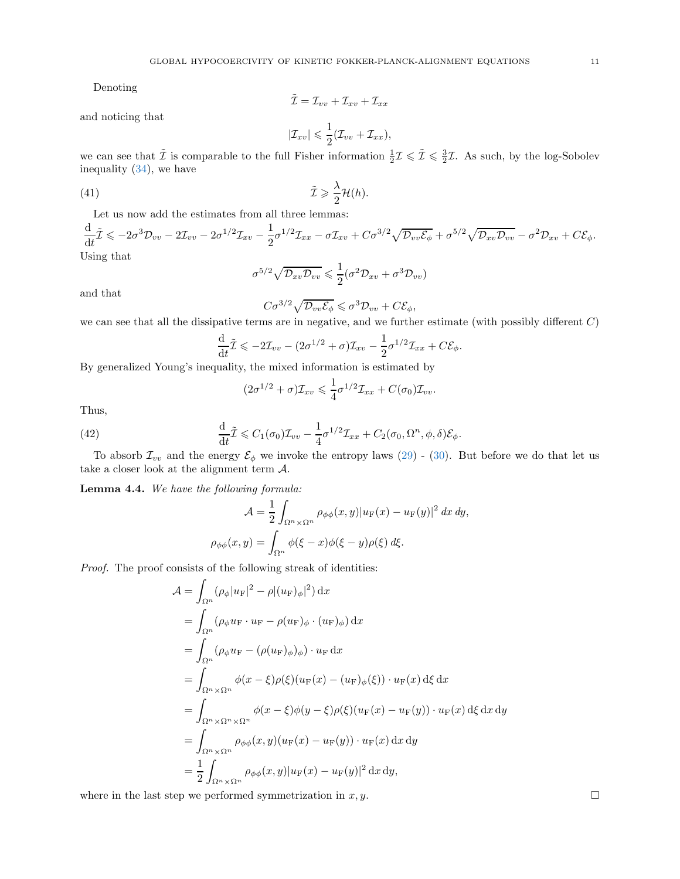Denoting

$$
\tilde{\mathcal{I}} = \mathcal{I}_{vv} + \mathcal{I}_{xv} + \mathcal{I}_{xx}
$$

and noticing that

<span id="page-10-2"></span>
$$
|\mathcal{I}_{xv}| \leqslant \frac{1}{2}(\mathcal{I}_{vv} + \mathcal{I}_{xx}),
$$

we can see that  $\tilde{\mathcal{I}}$  is comparable to the full Fisher information  $\frac{1}{2}\mathcal{I} \leq \tilde{\mathcal{I}} \leq \frac{3}{2}\mathcal{I}$ . As such, by the log-Sobolev inequality [\(34\)](#page-6-2), we have

(41) 
$$
\tilde{\mathcal{I}} \geq \frac{\lambda}{2} \mathcal{H}(h).
$$

Let us now add the estimates from all three lemmas:

$$
\frac{\mathrm{d}}{\mathrm{d}t}\tilde{L} \leq -2\sigma^3 \mathcal{D}_{vv} - 2\mathcal{I}_{vv} - 2\sigma^{1/2} \mathcal{I}_{xv} - \frac{1}{2}\sigma^{1/2} \mathcal{I}_{xx} - \sigma \mathcal{I}_{xv} + C\sigma^{3/2} \sqrt{\mathcal{D}_{vv}\mathcal{E}_{\phi}} + \sigma^{5/2} \sqrt{\mathcal{D}_{xv}\mathcal{D}_{vv}} - \sigma^2 \mathcal{D}_{xv} + C\mathcal{E}_{\phi}.
$$
  
Using that  

$$
\sigma^{5/2} \sqrt{\mathcal{D}_{xv}\mathcal{D}_{vv}} \leq \frac{1}{2}(\sigma^2 \mathcal{D}_{xv} + \sigma^3 \mathcal{D}_{vv})
$$

and that

$$
C\sigma^{3/2}\sqrt{\mathcal{D}_{vv}\mathcal{E}_{\phi}} \leqslant \sigma^3 \mathcal{D}_{vv} + C\mathcal{E}_{\phi},
$$

we can see that all the dissipative terms are in negative, and we further estimate (with possibly different C)

$$
\frac{\mathrm{d}}{\mathrm{d}t}\tilde{\mathcal{I}} \leqslant -2\mathcal{I}_{vv} - (2\sigma^{1/2} + \sigma)\mathcal{I}_{xv} - \frac{1}{2}\sigma^{1/2}\mathcal{I}_{xx} + C\mathcal{E}_{\phi}.
$$

By generalized Young's inequality, the mixed information is estimated by

<span id="page-10-1"></span>
$$
(2\sigma^{1/2} + \sigma)\mathcal{I}_{xv} \leq \frac{1}{4}\sigma^{1/2}\mathcal{I}_{xx} + C(\sigma_0)\mathcal{I}_{vv}.
$$

Thus,

(42) 
$$
\frac{\mathrm{d}}{\mathrm{d}t}\tilde{\mathcal{I}} \leqslant C_1(\sigma_0)\mathcal{I}_{vv} - \frac{1}{4}\sigma^{1/2}\mathcal{I}_{xx} + C_2(\sigma_0,\Omega^n,\phi,\delta)\mathcal{E}_{\phi}.
$$

To absorb  $\mathcal{I}_{vv}$  and the energy  $\mathcal{E}_{\phi}$  we invoke the entropy laws [\(29\)](#page-5-1) - [\(30\)](#page-5-2). But before we do that let us take a closer look at the alignment term  $A$ .

<span id="page-10-0"></span>Lemma 4.4. *We have the following formula:*

$$
\mathcal{A} = \frac{1}{2} \int_{\Omega^n \times \Omega^n} \rho_{\phi\phi}(x, y) |u_F(x) - u_F(y)|^2 dx dy,
$$
  

$$
\rho_{\phi\phi}(x, y) = \int_{\Omega^n} \phi(\xi - x) \phi(\xi - y) \rho(\xi) d\xi.
$$

*Proof.* The proof consists of the following streak of identities:

$$
\mathcal{A} = \int_{\Omega^n} (\rho_{\phi} |u_{\mathcal{F}}|^2 - \rho |(u_{\mathcal{F}})_{\phi}|^2) dx
$$
  
\n
$$
= \int_{\Omega^n} (\rho_{\phi} u_{\mathcal{F}} \cdot u_{\mathcal{F}} - \rho(u_{\mathcal{F}})_{\phi} \cdot (u_{\mathcal{F}})_{\phi}) dx
$$
  
\n
$$
= \int_{\Omega^n} (\rho_{\phi} u_{\mathcal{F}} - (\rho(u_{\mathcal{F}})_{\phi})_{\phi}) \cdot u_{\mathcal{F}} dx
$$
  
\n
$$
= \int_{\Omega^n \times \Omega^n} \phi(x - \xi) \rho(\xi) (u_{\mathcal{F}}(x) - (u_{\mathcal{F}})_{\phi}(\xi)) \cdot u_{\mathcal{F}}(x) d\xi dx
$$
  
\n
$$
= \int_{\Omega^n \times \Omega^n \times \Omega^n} \phi(x - \xi) \phi(y - \xi) \rho(\xi) (u_{\mathcal{F}}(x) - u_{\mathcal{F}}(y)) \cdot u_{\mathcal{F}}(x) d\xi dx dy
$$
  
\n
$$
= \int_{\Omega^n \times \Omega^n} \rho_{\phi} \phi(x, y) (u_{\mathcal{F}}(x) - u_{\mathcal{F}}(y)) \cdot u_{\mathcal{F}}(x) dx dy
$$
  
\n
$$
= \frac{1}{2} \int_{\Omega^n \times \Omega^n} \rho_{\phi} \phi(x, y) |u_{\mathcal{F}}(x) - u_{\mathcal{F}}(y)|^2 dx dy,
$$

where in the last step we performed symmetrization in  $x, y$ .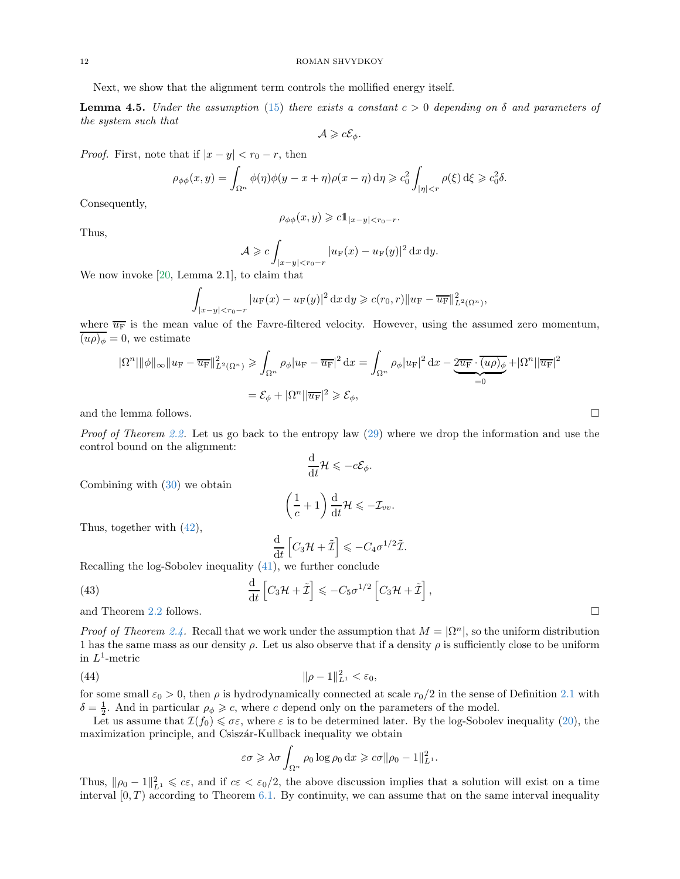Next, we show that the alignment term controls the mollified energy itself.

**Lemma 4.5.** *Under the assumption* [\(15\)](#page-3-5) *there exists a constant*  $c > 0$  *depending on*  $\delta$  *and parameters of the system such that*

$$
\mathcal{A}\geqslant c\mathcal{E}_{\phi}.
$$

*Proof.* First, note that if  $|x - y| < r_0 - r$ , then

$$
\rho_{\phi\phi}(x,y) = \int_{\Omega^n} \phi(\eta)\phi(y-x+\eta)\rho(x-\eta) d\eta \geq c_0^2 \int_{|\eta|< r} \rho(\xi) d\xi \geq c_0^2 \delta.
$$

Consequently,

$$
\rho_{\phi\phi}(x,y) \geqslant c \mathbb{1}_{|x-y| < r_0-r}.
$$

Thus,

$$
\mathcal{A} \geqslant c \int_{|x-y| < r_0 - r} |u_{\mathcal{F}}(x) - u_{\mathcal{F}}(y)|^2 \, \mathrm{d}x \, \mathrm{d}y.
$$

We now invoke [\[20,](#page-19-20) Lemma 2.1], to claim that

$$
\int_{|x-y|
$$

where  $\overline{u_{F}}$  is the mean value of the Favre-filtered velocity. However, using the assumed zero momentum,  $\overline{(u\rho)_\phi} = 0$ , we estimate

$$
|\Omega^n| \|\phi\|_{\infty} \|u_{\mathcal{F}} - \overline{u_{\mathcal{F}}}\|_{L^2(\Omega^n)}^2 \ge \int_{\Omega^n} \rho_{\phi} |u_{\mathcal{F}} - \overline{u_{\mathcal{F}}}|^2 dx = \int_{\Omega^n} \rho_{\phi} |u_{\mathcal{F}}|^2 dx - \underbrace{2\overline{u_{\mathcal{F}}}\cdot\overline{(u\rho)_{\phi}}}_{=0} + |\Omega^n| |\overline{u_{\mathcal{F}}}|^2
$$
  
=  $\mathcal{E}_{\phi} + |\Omega^n| |\overline{u_{\mathcal{F}}}|^2 \ge \mathcal{E}_{\phi},$ 

and the lemma follows.  $\Box$ 

*Proof of Theorem [2.2.](#page-3-2)* Let us go back to the entropy law [\(29\)](#page-5-1) where we drop the information and use the control bound on the alignment:

$$
\frac{\mathrm{d}}{\mathrm{d}t}\mathcal{H}\leqslant-c\mathcal{E}_{\phi}.
$$

Combining with [\(30\)](#page-5-2) we obtain

$$
\left(\frac{1}{c}+1\right)\frac{\mathrm{d}}{\mathrm{d}t}\mathcal{H}\leqslant-\mathcal{I}_{vv}.
$$

Thus, together with [\(42\)](#page-10-1),

<span id="page-11-1"></span>
$$
\frac{\mathrm{d}}{\mathrm{d}t}\left[C_3\mathcal{H}+\tilde{\mathcal{I}}\right]\leqslant -C_4\sigma^{1/2}\tilde{\mathcal{I}}.
$$

,

Recalling the log-Sobolev inequality [\(41\)](#page-10-2), we further conclude

(43) 
$$
\frac{\mathrm{d}}{\mathrm{d}t}\left[C_3\mathcal{H}+\tilde{\mathcal{I}}\right] \leqslant -C_5\sigma^{1/2}\left[C_3\mathcal{H}+\tilde{\mathcal{I}}\right]
$$

and Theorem [2.2](#page-3-2) follows.

*Proof of Theorem [2.4.](#page-3-3)* Recall that we work under the assumption that  $M = |\Omega^n|$ , so the uniform distribution 1 has the same mass as our density  $\rho$ . Let us also observe that if a density  $\rho$  is sufficiently close to be uniform in  $L^1$ -metric

(44) 
$$
\|\rho - 1\|_{L^1}^2 < \varepsilon_0,
$$

for some small  $\varepsilon_0 > 0$ , then  $\rho$  is hydrodynamically connected at scale  $r_0/2$  in the sense of Definition [2.1](#page-3-6) with  $\delta = \frac{1}{2}$ . And in particular  $\rho_{\phi} \geq c$ , where c depend only on the parameters of the model.

Let us assume that  $\mathcal{I}(f_0) \leq \sigma \varepsilon$ , where  $\varepsilon$  is to be determined later. By the log-Sobolev inequality [\(20\)](#page-3-7), the maximization principle, and Csiszár-Kullback inequality we obtain

<span id="page-11-0"></span>
$$
\varepsilon\sigma \geqslant \lambda\sigma \int_{\Omega^n} \rho_0 \log \rho_0 \,dx \geqslant c\sigma \|\rho_0 - 1\|_{L^1}^2.
$$

Thus,  $\|\rho_0 - 1\|_{L^1}^2 \leqslant c\varepsilon$ , and if  $c\varepsilon < \varepsilon_0/2$ , the above discussion implies that a solution will exist on a time interval  $[0, T)$  according to Theorem [6.1.](#page-16-0) By continuity, we can assume that on the same interval inequality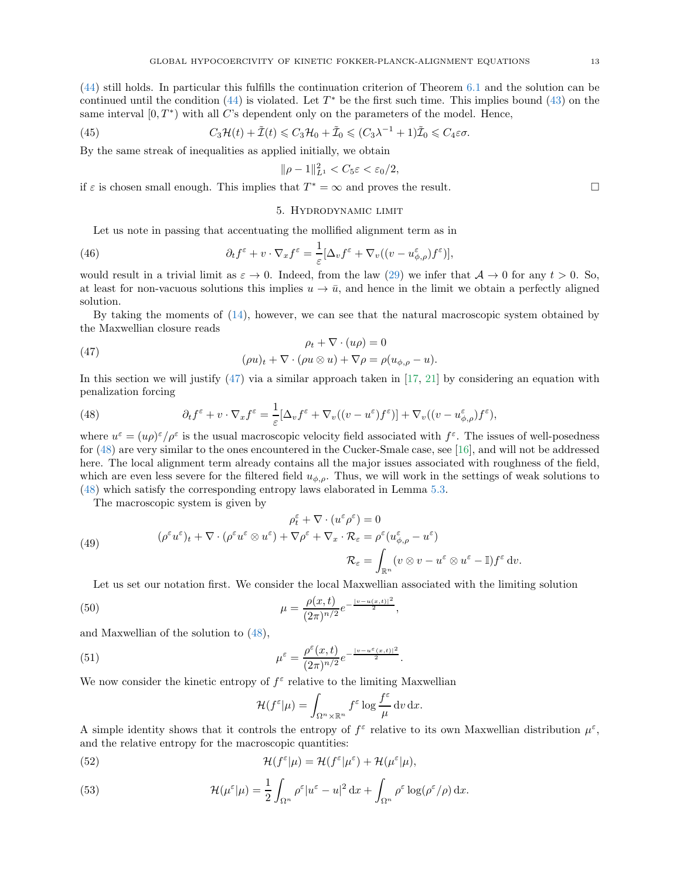[\(44\)](#page-11-0) still holds. In particular this fulfills the continuation criterion of Theorem [6.1](#page-16-0) and the solution can be continued until the condition  $(44)$  is violated. Let  $T^*$  be the first such time. This implies bound  $(43)$  on the same interval  $[0, T^*)$  with all C's dependent only on the parameters of the model. Hence,

(45) 
$$
C_3\mathcal{H}(t) + \tilde{\mathcal{I}}(t) \leq C_3\mathcal{H}_0 + \tilde{\mathcal{I}}_0 \leq (C_3\lambda^{-1} + 1)\tilde{\mathcal{I}}_0 \leq C_4\varepsilon\sigma.
$$

By the same streak of inequalities as applied initially, we obtain

$$
\|\rho-1\|_{L^1}^2 < C_5\varepsilon < \varepsilon_0/2,
$$

<span id="page-12-0"></span>if  $\varepsilon$  is chosen small enough. This implies that  $T^* = \infty$  and proves the result.

#### 5. Hydrodynamic limit

Let us note in passing that accentuating the mollified alignment term as in

(46) 
$$
\partial_t f^{\varepsilon} + v \cdot \nabla_x f^{\varepsilon} = \frac{1}{\varepsilon} [\Delta_v f^{\varepsilon} + \nabla_v ((v - u^{\varepsilon}_{\phi, \rho}) f^{\varepsilon})],
$$

would result in a trivial limit as  $\varepsilon \to 0$ . Indeed, from the law [\(29\)](#page-5-1) we infer that  $\mathcal{A} \to 0$  for any  $t > 0$ . So, at least for non-vacuous solutions this implies  $u \to \bar{u}$ , and hence in the limit we obtain a perfectly aligned solution.

By taking the moments of [\(14\)](#page-2-2), however, we can see that the natural macroscopic system obtained by the Maxwellian closure reads

<span id="page-12-2"></span>(47) 
$$
\rho_t + \nabla \cdot (u\rho) = 0
$$

$$
(\rho u)_t + \nabla \cdot (\rho u \otimes u) + \nabla \rho = \rho (u_{\phi,\rho} - u).
$$

In this section we will justify [\(47\)](#page-12-2) via a similar approach taken in [\[17,](#page-19-19) [21\]](#page-19-21) by considering an equation with penalization forcing

<span id="page-12-1"></span>(48) 
$$
\partial_t f^{\varepsilon} + v \cdot \nabla_x f^{\varepsilon} = \frac{1}{\varepsilon} [\Delta_v f^{\varepsilon} + \nabla_v ((v - u^{\varepsilon}) f^{\varepsilon})] + \nabla_v ((v - u^{\varepsilon}_{\phi, \rho}) f^{\varepsilon}),
$$

where  $u^{\varepsilon} = (u\rho)^{\varepsilon}/\rho^{\varepsilon}$  is the usual macroscopic velocity field associated with  $f^{\varepsilon}$ . The issues of well-posedness for [\(48\)](#page-12-1) are very similar to the ones encountered in the Cucker-Smale case, see [\[16\]](#page-19-22), and will not be addressed here. The local alignment term already contains all the major issues associated with roughness of the field, which are even less severe for the filtered field  $u_{\phi,\rho}$ . Thus, we will work in the settings of weak solutions to [\(48\)](#page-12-1) which satisfy the corresponding entropy laws elaborated in Lemma [5.3.](#page-13-0)

The macroscopic system is given by

(49)  
\n
$$
\rho_t^{\varepsilon} + \nabla \cdot (u^{\varepsilon} \rho^{\varepsilon}) = 0
$$
\n
$$
(\rho^{\varepsilon} u^{\varepsilon})_t + \nabla \cdot (\rho^{\varepsilon} u^{\varepsilon} \otimes u^{\varepsilon}) + \nabla \rho^{\varepsilon} + \nabla_x \cdot \mathcal{R}_{\varepsilon} = \rho^{\varepsilon} (u^{\varepsilon}_{\phi, \rho} - u^{\varepsilon})
$$
\n
$$
\mathcal{R}_{\varepsilon} = \int_{\mathbb{R}^n} (v \otimes v - u^{\varepsilon} \otimes u^{\varepsilon} - \mathbb{I}) f^{\varepsilon} dv.
$$

Let us set our notation first. We consider the local Maxwellian associated with the limiting solution

(50) 
$$
\mu = \frac{\rho(x,t)}{(2\pi)^{n/2}} e^{-\frac{|v-u(x,t)|^2}{2}},
$$

and Maxwellian of the solution to [\(48\)](#page-12-1),

(51) 
$$
\mu^{\varepsilon} = \frac{\rho^{\varepsilon}(x,t)}{(2\pi)^{n/2}} e^{-\frac{|v-u^{\varepsilon}(x,t)|^2}{2}}.
$$

We now consider the kinetic entropy of  $f^{\varepsilon}$  relative to the limiting Maxwellian

$$
\mathcal{H}(f^{\varepsilon}|\mu) = \int_{\Omega^n \times \mathbb{R}^n} f^{\varepsilon} \log \frac{f^{\varepsilon}}{\mu} dv dx.
$$

A simple identity shows that it controls the entropy of  $f^{\varepsilon}$  relative to its own Maxwellian distribution  $\mu^{\varepsilon}$ , and the relative entropy for the macroscopic quantities:

(52) 
$$
\mathcal{H}(f^{\varepsilon}|\mu) = \mathcal{H}(f^{\varepsilon}|\mu^{\varepsilon}) + \mathcal{H}(\mu^{\varepsilon}|\mu),
$$

(53) 
$$
\mathcal{H}(\mu^{\varepsilon}|\mu) = \frac{1}{2} \int_{\Omega^n} \rho^{\varepsilon} |u^{\varepsilon} - u|^2 \, dx + \int_{\Omega^n} \rho^{\varepsilon} \log(\rho^{\varepsilon}/\rho) \, dx.
$$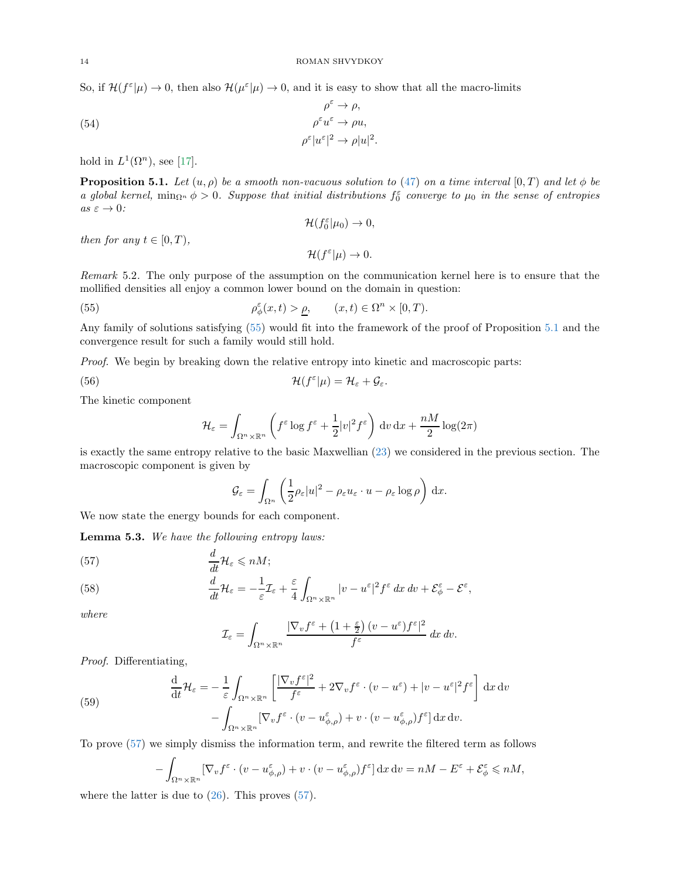So, if  $\mathcal{H}(f^{\varepsilon}|\mu) \to 0$ , then also  $\mathcal{H}(\mu^{\varepsilon}|\mu) \to 0$ , and it is easy to show that all the macro-limits

(54) 
$$
\rho^{\varepsilon} \to \rho,
$$

$$
\rho^{\varepsilon} u^{\varepsilon} \to \rho u,
$$

$$
\rho^{\varepsilon} |u^{\varepsilon}|^2 \to \rho |u|^2.
$$

hold in  $L^1(\Omega^n)$ , see [\[17\]](#page-19-19).

<span id="page-13-2"></span>**Proposition 5.1.** *Let*  $(u, \rho)$  *be a smooth non-vacuous solution to* [\(47\)](#page-12-2) *on a time interval*  $[0, T)$  *and let*  $\phi$  *be a* global kernel,  $\min_{\Omega^n} \phi > 0$ . Suppose that initial distributions  $f_0^{\varepsilon}$  converge to  $\mu_0$  in the sense of entropies  $as \varepsilon \to 0$ *:* 

$$
\mathcal{H}(f_0^{\varepsilon}|\mu_0) \to 0,
$$

*then for any*  $t \in [0, T)$ ,

<span id="page-13-1"></span> $\mathcal{H}(f^{\varepsilon}|\mu) \to 0.$ 

*Remark* 5.2*.* The only purpose of the assumption on the communication kernel here is to ensure that the mollified densities all enjoy a common lower bound on the domain in question:

(55) 
$$
\rho_{\phi}^{\varepsilon}(x,t) > \underline{\rho}, \qquad (x,t) \in \Omega^n \times [0,T).
$$

Any family of solutions satisfying [\(55\)](#page-13-1) would fit into the framework of the proof of Proposition [5.1](#page-13-2) and the convergence result for such a family would still hold.

*Proof.* We begin by breaking down the relative entropy into kinetic and macroscopic parts:

(56) 
$$
\mathcal{H}(f^{\varepsilon}|\mu) = \mathcal{H}_{\varepsilon} + \mathcal{G}_{\varepsilon}.
$$

The kinetic component

$$
\mathcal{H}_{\varepsilon} = \int_{\Omega^n \times \mathbb{R}^n} \left( f^{\varepsilon} \log f^{\varepsilon} + \frac{1}{2} |v|^2 f^{\varepsilon} \right) \, \mathrm{d}v \, \mathrm{d}x + \frac{nM}{2} \log(2\pi)
$$

is exactly the same entropy relative to the basic Maxwellian [\(23\)](#page-4-2) we considered in the previous section. The macroscopic component is given by

$$
\mathcal{G}_{\varepsilon} = \int_{\Omega^n} \left( \frac{1}{2} \rho_{\varepsilon} |u|^2 - \rho_{\varepsilon} u_{\varepsilon} \cdot u - \rho_{\varepsilon} \log \rho \right) dx.
$$

We now state the energy bounds for each component.

<span id="page-13-0"></span>Lemma 5.3. *We have the following entropy laws:*

<span id="page-13-3"></span>(57) 
$$
\frac{d}{dt} \mathcal{H}_{\varepsilon} \leqslant nM;
$$

<span id="page-13-4"></span>(58) 
$$
\frac{d}{dt}\mathcal{H}_{\varepsilon} = -\frac{1}{\varepsilon}\mathcal{I}_{\varepsilon} + \frac{\varepsilon}{4}\int_{\Omega^n\times\mathbb{R}^n}|v-u^{\varepsilon}|^2f^{\varepsilon} dx dv + \mathcal{E}_{\phi}^{\varepsilon} - \mathcal{E}^{\varepsilon},
$$

*where*

$$
\mathcal{I}_{\varepsilon} = \int_{\Omega^n \times \mathbb{R}^n} \frac{|\nabla_v f^{\varepsilon} + (1 + \frac{\varepsilon}{2}) (v - u^{\varepsilon}) f^{\varepsilon}|^2}{f^{\varepsilon}} dx dv.
$$

*Proof.* Differentiating,

<span id="page-13-5"></span>(59)  
\n
$$
\frac{d}{dt} \mathcal{H}_{\varepsilon} = -\frac{1}{\varepsilon} \int_{\Omega^n \times \mathbb{R}^n} \left[ \frac{|\nabla_v f^{\varepsilon}|^2}{f^{\varepsilon}} + 2\nabla_v f^{\varepsilon} \cdot (v - u^{\varepsilon}) + |v - u^{\varepsilon}|^2 f^{\varepsilon} \right] dx dv
$$
\n
$$
- \int_{\Omega^n \times \mathbb{R}^n} [\nabla_v f^{\varepsilon} \cdot (v - u^{\varepsilon}_{\phi, \rho}) + v \cdot (v - u^{\varepsilon}_{\phi, \rho}) f^{\varepsilon}] dx dv.
$$

To prove [\(57\)](#page-13-3) we simply dismiss the information term, and rewrite the filtered term as follows

$$
-\int_{\Omega^n\times\mathbb{R}^n} \left[\nabla_v f^\varepsilon\cdot(v-u^\varepsilon_{\phi,\rho})+v\cdot(v-u^\varepsilon_{\phi,\rho})f^\varepsilon\right]dx\,dv=nM-E^\varepsilon+\mathcal{E}^\varepsilon_\phi\leq nM,
$$

where the latter is due to  $(26)$ . This proves  $(57)$ .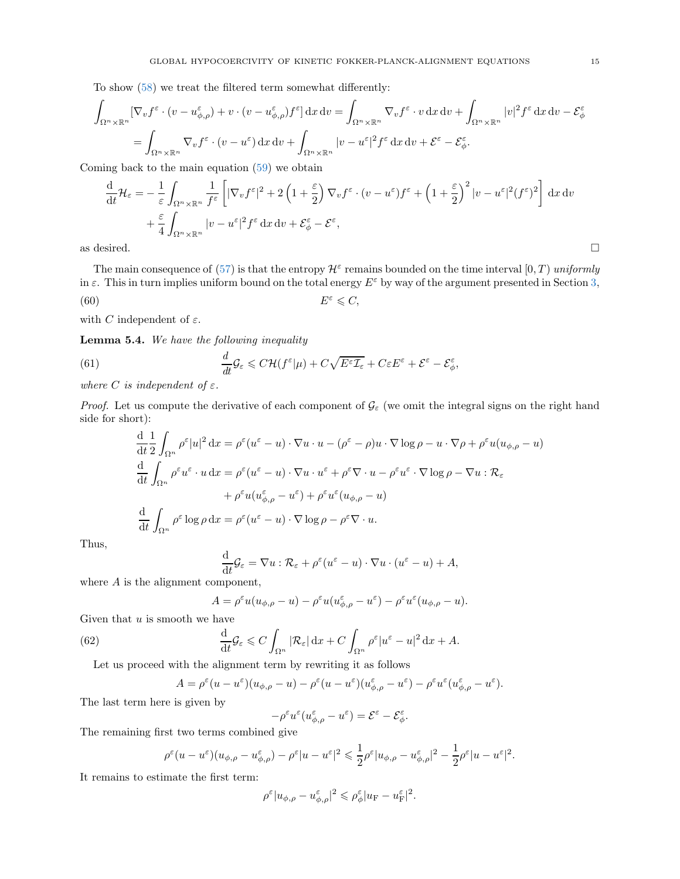To show [\(58\)](#page-13-4) we treat the filtered term somewhat differently:

$$
\int_{\Omega^n \times \mathbb{R}^n} [\nabla_v f^\varepsilon \cdot (v - u_{\phi,\rho}^\varepsilon) + v \cdot (v - u_{\phi,\rho}^\varepsilon) f^\varepsilon] \, dx \, dv = \int_{\Omega^n \times \mathbb{R}^n} \nabla_v f^\varepsilon \cdot v \, dx \, dv + \int_{\Omega^n \times \mathbb{R}^n} |v|^2 f^\varepsilon \, dx \, dv - \mathcal{E}_{\phi}^\varepsilon
$$
\n
$$
= \int_{\Omega^n \times \mathbb{R}^n} \nabla_v f^\varepsilon \cdot (v - u^\varepsilon) \, dx \, dv + \int_{\Omega^n \times \mathbb{R}^n} |v - u^\varepsilon|^2 f^\varepsilon \, dx \, dv + \mathcal{E}^\varepsilon - \mathcal{E}_{\phi}^\varepsilon.
$$

Coming back to the main equation [\(59\)](#page-13-5) we obtain

$$
\frac{d}{dt} \mathcal{H}_{\varepsilon} = -\frac{1}{\varepsilon} \int_{\Omega^n \times \mathbb{R}^n} \frac{1}{f^{\varepsilon}} \left[ |\nabla_v f^{\varepsilon}|^2 + 2 \left( 1 + \frac{\varepsilon}{2} \right) \nabla_v f^{\varepsilon} \cdot (v - u^{\varepsilon}) f^{\varepsilon} + \left( 1 + \frac{\varepsilon}{2} \right)^2 |v - u^{\varepsilon}|^2 (f^{\varepsilon})^2 \right] dx dv + \frac{\varepsilon}{4} \int_{\Omega^n \times \mathbb{R}^n} |v - u^{\varepsilon}|^2 f^{\varepsilon} dx dv + \mathcal{E}_{\phi}^{\varepsilon} - \mathcal{E}^{\varepsilon},
$$
  
as desired.

The main consequence of [\(57\)](#page-13-3) is that the entropy  $\mathcal{H}^{\varepsilon}$  remains bounded on the time interval  $[0, T)$  *uniformly* in  $\varepsilon$ . This in turn implies uniform bound on the total energy  $E^{\varepsilon}$  by way of the argument presented in Section [3,](#page-4-0)  $(60)$  E  $E^{\varepsilon} \leqslant C$ ,

with C independent of  $\varepsilon$ .

Lemma 5.4. *We have the following inequality*

(61) 
$$
\frac{d}{dt}\mathcal{G}_{\varepsilon} \leq C\mathcal{H}(f^{\varepsilon}|\mu) + C\sqrt{E^{\varepsilon}\mathcal{I}_{\varepsilon}} + C\varepsilon E^{\varepsilon} + \mathcal{E}^{\varepsilon} - \mathcal{E}_{\phi}^{\varepsilon}
$$

*where C is independent* of  $\varepsilon$ *.* 

*Proof.* Let us compute the derivative of each component of  $\mathcal{G}_{\varepsilon}$  (we omit the integral signs on the right hand side for short):

,

<span id="page-14-0"></span>
$$
\frac{d}{dt} \frac{1}{2} \int_{\Omega^n} \rho^{\varepsilon} |u|^2 dx = \rho^{\varepsilon} (u^{\varepsilon} - u) \cdot \nabla u \cdot u - (\rho^{\varepsilon} - \rho) u \cdot \nabla \log \rho - u \cdot \nabla \rho + \rho^{\varepsilon} u (u_{\phi,\rho} - u)
$$
  

$$
\frac{d}{dt} \int_{\Omega^n} \rho^{\varepsilon} u^{\varepsilon} \cdot u dx = \rho^{\varepsilon} (u^{\varepsilon} - u) \cdot \nabla u \cdot u^{\varepsilon} + \rho^{\varepsilon} \nabla \cdot u - \rho^{\varepsilon} u^{\varepsilon} \cdot \nabla \log \rho - \nabla u : \mathcal{R}_{\varepsilon}
$$
  

$$
+ \rho^{\varepsilon} u (u^{\varepsilon}_{\phi,\rho} - u^{\varepsilon}) + \rho^{\varepsilon} u^{\varepsilon} (u_{\phi,\rho} - u)
$$
  

$$
\frac{d}{dt} \int_{\Omega^n} \rho^{\varepsilon} \log \rho dx = \rho^{\varepsilon} (u^{\varepsilon} - u) \cdot \nabla \log \rho - \rho^{\varepsilon} \nabla \cdot u.
$$

Thus,

$$
\frac{\mathrm{d}}{\mathrm{d}t}\mathcal{G}_{\varepsilon} = \nabla u : \mathcal{R}_{\varepsilon} + \rho^{\varepsilon}(u^{\varepsilon} - u) \cdot \nabla u \cdot (u^{\varepsilon} - u) + A,
$$

where A is the alignment component,

$$
= \rho^{\varepsilon} u(u_{\phi,\rho} - u) - \rho^{\varepsilon} u(u_{\phi,\rho}^{\varepsilon} - u^{\varepsilon}) - \rho^{\varepsilon} u^{\varepsilon} (u_{\phi,\rho} - u).
$$

Given that  $u$  is smooth we have

(62) 
$$
\frac{\mathrm{d}}{\mathrm{d}t}\mathcal{G}_{\varepsilon} \leq C \int_{\Omega^n} |\mathcal{R}_{\varepsilon}| \,\mathrm{d}x + C \int_{\Omega^n} \rho^{\varepsilon} |u^{\varepsilon} - u|^2 \,\mathrm{d}x + A.
$$

Let us proceed with the alignment term by rewriting it as follows

 $\boldsymbol{A}$ 

$$
A=\rho^\varepsilon(u-u^\varepsilon)(u_{\phi,\rho}-u)-\rho^\varepsilon(u-u^\varepsilon)(u_{\phi,\rho}^\varepsilon-u^\varepsilon)-\rho^\varepsilon u^\varepsilon(u_{\phi,\rho}^\varepsilon-u^\varepsilon).
$$

The last term here is given by

$$
-\rho^{\varepsilon}u^{\varepsilon}(u_{\phi,\rho}^{\varepsilon}-u^{\varepsilon})=\mathcal{E}^{\varepsilon}-\mathcal{E}_{\phi}^{\varepsilon}.
$$

The remaining first two terms combined give

$$
\rho^{\varepsilon}(u-u^{\varepsilon})(u_{\phi,\rho}-u^{\varepsilon}_{\phi,\rho})-\rho^{\varepsilon}|u-u^{\varepsilon}|^{2}\leqslant \frac{1}{2}\rho^{\varepsilon}|u_{\phi,\rho}-u^{\varepsilon}_{\phi,\rho}|^{2}-\frac{1}{2}\rho^{\varepsilon}|u-u^{\varepsilon}|^{2}.
$$

It remains to estimate the first term:

$$
\rho^{\varepsilon}|u_{\phi,\rho}-u_{\phi,\rho}^{\varepsilon}|^2 \leqslant \rho_{\phi}^{\varepsilon}|u_{\mathrm{F}}-u_{\mathrm{F}}^{\varepsilon}|^2.
$$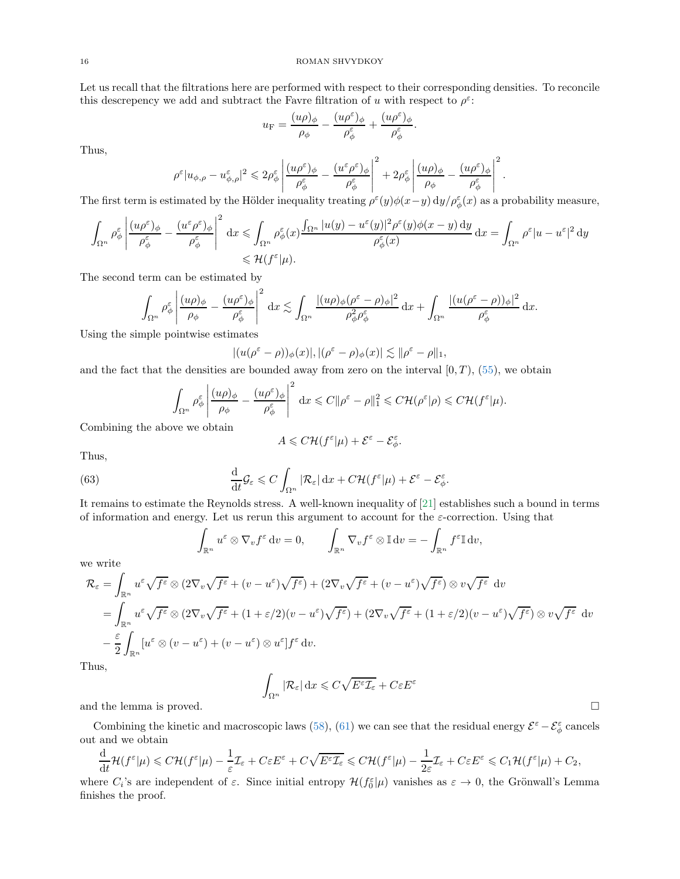Let us recall that the filtrations here are performed with respect to their corresponding densities. To reconcile this descrepency we add and subtract the Favre filtration of u with respect to  $\rho^{\varepsilon}$ .

$$
u_{\rm F}=\frac{(u\rho)_\phi}{\rho_\phi}-\frac{(u\rho^\varepsilon)_\phi}{\rho_\phi^\varepsilon}+\frac{(u\rho^\varepsilon)_\phi}{\rho_\phi^\varepsilon}.
$$

Thus,

$$
\rho^\varepsilon|u_{\phi,\rho}-u^\varepsilon_{\phi,\rho}|^2\leqslant 2\rho^\varepsilon_\phi\left|\frac{(u\rho^\varepsilon)_\phi}{\rho^\varepsilon_\phi}-\frac{(u^\varepsilon\rho^\varepsilon)_\phi}{\rho^\varepsilon_\phi}\right|^2+2\rho^\varepsilon_\phi\left|\frac{(u\rho)_\phi}{\rho_\phi}-\frac{(u\rho^\varepsilon)_\phi}{\rho^\varepsilon_\phi}\right|^2.
$$

The first term is estimated by the Hölder inequality treating  $\rho^{\varepsilon}(y)\phi(x-y) dy/\rho^{\varepsilon}_{\phi}(x)$  as a probability measure,

$$
\int_{\Omega^n} \rho_\phi^\varepsilon \left| \frac{(u\rho^\varepsilon)_\phi}{\rho_\phi^\varepsilon} - \frac{(u^\varepsilon \rho^\varepsilon)_\phi}{\rho_\phi^\varepsilon} \right|^2 dx \leq \int_{\Omega^n} \rho_\phi^\varepsilon(x) \frac{\int_{\Omega^n} |u(y) - u^\varepsilon(y)|^2 \rho^\varepsilon(y) \phi(x - y) dy}{\rho_\phi^\varepsilon(x)} dx = \int_{\Omega^n} \rho^\varepsilon |u - u^\varepsilon|^2 dy
$$
  

$$
\leq \mathcal{H}(f^\varepsilon | \mu).
$$

The second term can be estimated by

$$
\int_{\Omega^n} \rho_\phi^\varepsilon \left| \frac{(u\rho)_\phi}{\rho_\phi} - \frac{(u\rho^\varepsilon)_\phi}{\rho_\phi^\varepsilon} \right|^2 \,\mathrm{d} x \lesssim \int_{\Omega^n} \frac{|(u\rho)_\phi (\rho^\varepsilon - \rho)_\phi|^2}{\rho_\phi^2 \rho_\phi^\varepsilon} \,\mathrm{d} x + \int_{\Omega^n} \frac{|(u(\rho^\varepsilon - \rho))_\phi|^2}{\rho_\phi^\varepsilon} \,\mathrm{d} x.
$$

Using the simple pointwise estimates

$$
|(u(\rho^{\varepsilon}-\rho))_{\phi}(x)|, |(\rho^{\varepsilon}-\rho)_{\phi}(x)| \lesssim \|\rho^{\varepsilon}-\rho\|_1,
$$

and the fact that the densities are bounded away from zero on the interval  $[0, T)$ ,  $(55)$ , we obtain

$$
\int_{\Omega^n} \rho_\phi^\varepsilon \left| \frac{(u\rho)_\phi}{\rho_\phi} - \frac{(u\rho^\varepsilon)_\phi}{\rho_\phi^\varepsilon} \right|^2 dx \leqslant C \|\rho^\varepsilon - \rho\|_1^2 \leqslant C \mathcal{H}(\rho^\varepsilon|\rho) \leqslant C \mathcal{H}(f^\varepsilon|\mu).
$$

Combining the above we obtain

$$
A\leqslant C\mathcal{H}(f^\varepsilon|\mu)+\mathcal{E}^\varepsilon-\mathcal{E}_\phi^\varepsilon.
$$

Thus,

(63) 
$$
\frac{\mathrm{d}}{\mathrm{d}t}\mathcal{G}_{\varepsilon} \leqslant C \int_{\Omega^n} |\mathcal{R}_{\varepsilon}| \,\mathrm{d}x + C\mathcal{H}(f^{\varepsilon}|\mu) + \mathcal{E}^{\varepsilon} - \mathcal{E}_{\phi}^{\varepsilon}.
$$

It remains to estimate the Reynolds stress. A well-known inequality of [\[21\]](#page-19-21) establishes such a bound in terms of information and energy. Let us rerun this argument to account for the  $\varepsilon$ -correction. Using that

$$
\int_{\mathbb{R}^n} u^{\varepsilon} \otimes \nabla_v f^{\varepsilon} dv = 0, \qquad \int_{\mathbb{R}^n} \nabla_v f^{\varepsilon} \otimes \mathbb{I} dv = - \int_{\mathbb{R}^n} f^{\varepsilon} \mathbb{I} dv,
$$

we write

$$
\mathcal{R}_{\varepsilon} = \int_{\mathbb{R}^n} u^{\varepsilon} \sqrt{f^{\varepsilon}} \otimes (2\nabla_v \sqrt{f^{\varepsilon}} + (v - u^{\varepsilon})\sqrt{f^{\varepsilon}}) + (2\nabla_v \sqrt{f^{\varepsilon}} + (v - u^{\varepsilon})\sqrt{f^{\varepsilon}}) \otimes v\sqrt{f^{\varepsilon}} dv
$$
  
\n
$$
= \int_{\mathbb{R}^n} u^{\varepsilon} \sqrt{f^{\varepsilon}} \otimes (2\nabla_v \sqrt{f^{\varepsilon}} + (1 + \varepsilon/2)(v - u^{\varepsilon})\sqrt{f^{\varepsilon}}) + (2\nabla_v \sqrt{f^{\varepsilon}} + (1 + \varepsilon/2)(v - u^{\varepsilon})\sqrt{f^{\varepsilon}}) \otimes v\sqrt{f^{\varepsilon}} dv
$$
  
\n
$$
- \frac{\varepsilon}{2} \int_{\mathbb{R}^n} [u^{\varepsilon} \otimes (v - u^{\varepsilon}) + (v - u^{\varepsilon}) \otimes u^{\varepsilon}] f^{\varepsilon} dv.
$$

Thus,

$$
\int_{\Omega^n} |\mathcal{R}_{\varepsilon}| \,dx \leqslant C\sqrt{E^{\varepsilon}\mathcal{I}_{\varepsilon}} + C\varepsilon E^{\varepsilon}
$$

and the lemma is proved.  $\square$ 

Combining the kinetic and macroscopic laws [\(58\)](#page-13-4), [\(61\)](#page-14-0) we can see that the residual energy  $\mathcal{E}^{\varepsilon} - \mathcal{E}_{\phi}^{\varepsilon}$  cancels out and we obtain

$$
\frac{\mathrm{d}}{\mathrm{d} t} \mathcal{H}(f^\varepsilon | \mu) \leqslant C \mathcal{H}(f^\varepsilon | \mu) - \frac{1}{\varepsilon} \mathcal{I}_\varepsilon + C \varepsilon E^\varepsilon + C \sqrt{E^\varepsilon \mathcal{I}_\varepsilon} \leqslant C \mathcal{H}(f^\varepsilon | \mu) - \frac{1}{2\varepsilon} \mathcal{I}_\varepsilon + C \varepsilon E^\varepsilon \leqslant C_1 \mathcal{H}(f^\varepsilon | \mu) + C_2,
$$

where  $C_i$ 's are independent of  $\varepsilon$ . Since initial entropy  $\mathcal{H}(f_0^{\varepsilon}|\mu)$  vanishes as  $\varepsilon \to 0$ , the Grönwall's Lemma finishes the proof.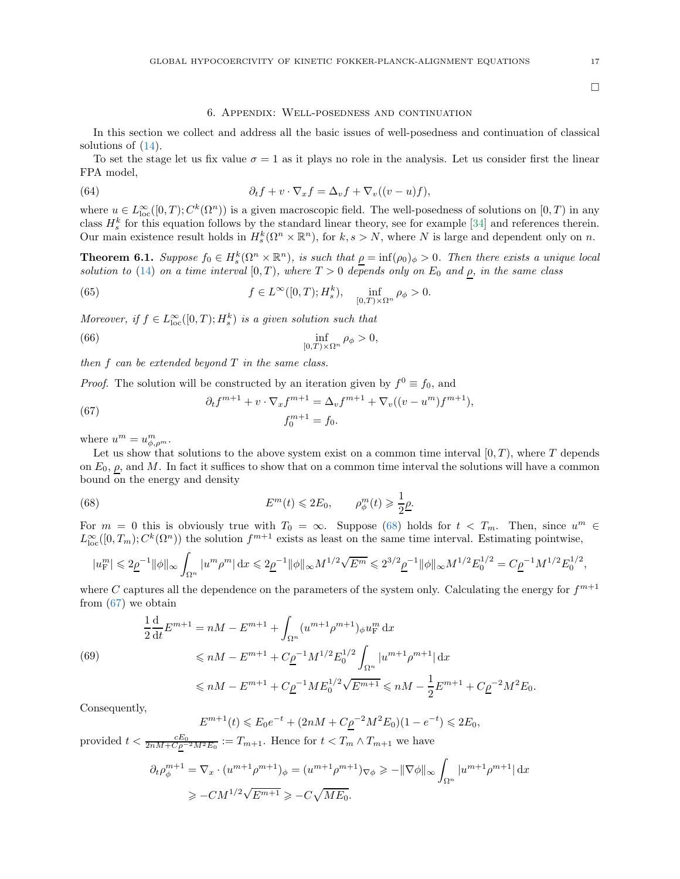# 6. Appendix: Well-posedness and continuation

In this section we collect and address all the basic issues of well-posedness and continuation of classical solutions of [\(14\)](#page-2-2).

To set the stage let us fix value  $\sigma = 1$  as it plays no role in the analysis. Let us consider first the linear FPA model,

(64) 
$$
\partial_t f + v \cdot \nabla_x f = \Delta_v f + \nabla_v ((v - u)f),
$$

where  $u \in L^{\infty}_{loc}([0,T); C^{k}(\Omega^{n}))$  is a given macroscopic field. The well-posedness of solutions on  $[0, T)$  in any class  $H_s^k$  for this equation follows by the standard linear theory, see for example [\[34\]](#page-19-13) and references therein. Our main existence result holds in  $H_s^k(\Omega^n \times \mathbb{R}^n)$ , for  $k, s > N$ , where N is large and dependent only on n.

<span id="page-16-0"></span>**Theorem 6.1.** *Suppose*  $f_0 \in H_s^k(\Omega^n \times \mathbb{R}^n)$ *, is such that*  $\underline{\rho} = \inf(\rho_0)_{\phi} > 0$ *. Then there exists a unique local solution to* [\(14\)](#page-2-2) *on a time interval* [0, T], where  $T > 0$  *depends only on*  $E_0$  *and*  $\rho$ *, in the same class* 

<span id="page-16-3"></span>(65) 
$$
f \in L^{\infty}([0,T); H_s^k), \quad \inf_{[0,T)\times\Omega^n} \rho_\phi > 0.
$$

*Moreover, if*  $f \in L^{\infty}_{loc}([0, T); H^{k}_{s})$  *is a given solution such that* 

<span id="page-16-4"></span>(66) 
$$
\inf_{[0,T)\times\Omega^n} \rho_{\phi} > 0,
$$

*then* f *can be extended beyond* T *in the same class.*

*Proof.* The solution will be constructed by an iteration given by  $f^0 \equiv f_0$ , and

<span id="page-16-2"></span>(67) 
$$
\partial_t f^{m+1} + v \cdot \nabla_x f^{m+1} = \Delta_v f^{m+1} + \nabla_v ((v - u^m) f^{m+1}),
$$

$$
f_0^{m+1} = f_0.
$$

where  $u^m = u^m_{\phi,\rho^m}$ .

Let us show that solutions to the above system exist on a common time interval  $[0, T)$ , where T depends on  $E_0$ ,  $\rho$ , and M. In fact it suffices to show that on a common time interval the solutions will have a common bound on the energy and density

(68) 
$$
E^{m}(t) \leq 2E_0, \qquad \rho_{\phi}^{m}(t) \geq \frac{1}{2}\underline{\rho}.
$$

For  $m = 0$  this is obviously true with  $T_0 = \infty$ . Suppose [\(68\)](#page-16-1) holds for  $t < T_m$ . Then, since  $u^m \in$  $L^{\infty}_{loc}([0,T_m); C^k(\Omega^n))$  the solution  $f^{m+1}$  exists as least on the same time interval. Estimating pointwise,

<span id="page-16-1"></span>
$$
|u_{\rm F}^m|\leqslant 2\underline{\rho}^{-1}\|\phi\|_\infty\int_{\Omega^n}|u^m\rho^m|\,\mathrm{d} x\leqslant 2\underline{\rho}^{-1}\|\phi\|_\infty M^{1/2}\sqrt{E^m}\leqslant 2^{3/2}\underline{\rho}^{-1}\|\phi\|_\infty M^{1/2}E_0^{1/2}=C\underline{\rho}^{-1}M^{1/2}E_0^{1/2},
$$

where C captures all the dependence on the parameters of the system only. Calculating the energy for  $f^{m+1}$ from  $(67)$  we obtain

$$
\frac{1}{2}\frac{d}{dt}E^{m+1} = nM - E^{m+1} + \int_{\Omega^n} (u^{m+1}\rho^{m+1})_\phi u_F^m dx
$$
  
(69)  

$$
\leq nM - E^{m+1} + C\underline{\rho}^{-1}M^{1/2}E_0^{1/2} \int_{\Omega^n} |u^{m+1}\rho^{m+1}| dx
$$
  

$$
\leq nM - E^{m+1} + C\underline{\rho}^{-1}ME_0^{1/2}\sqrt{E^{m+1}} \leq nM - \frac{1}{2}E^{m+1} + C\underline{\rho}^{-2}M^2E_0.
$$

Consequently,

$$
E^{m+1}(t) \leq E_0 e^{-t} + (2nM + C \rho^{-2} M^2 E_0)(1 - e^{-t}) \leq 2E_0,
$$

provided  $t < \frac{cE_0}{2nM + C\rho^{-2}M^2E_0} := T_{m+1}$ . Hence for  $t < T_m \wedge T_{m+1}$  we have

$$
\partial_t \rho_{\phi}^{m+1} = \nabla_x \cdot (u^{m+1} \rho^{m+1})_{\phi} = (u^{m+1} \rho^{m+1})_{\nabla \phi} \ge -\|\nabla \phi\|_{\infty} \int_{\Omega^n} |u^{m+1} \rho^{m+1}| \,dx
$$
  
\n
$$
\ge -CM^{1/2} \sqrt{E^{m+1}} \ge -C \sqrt{ME_0}.
$$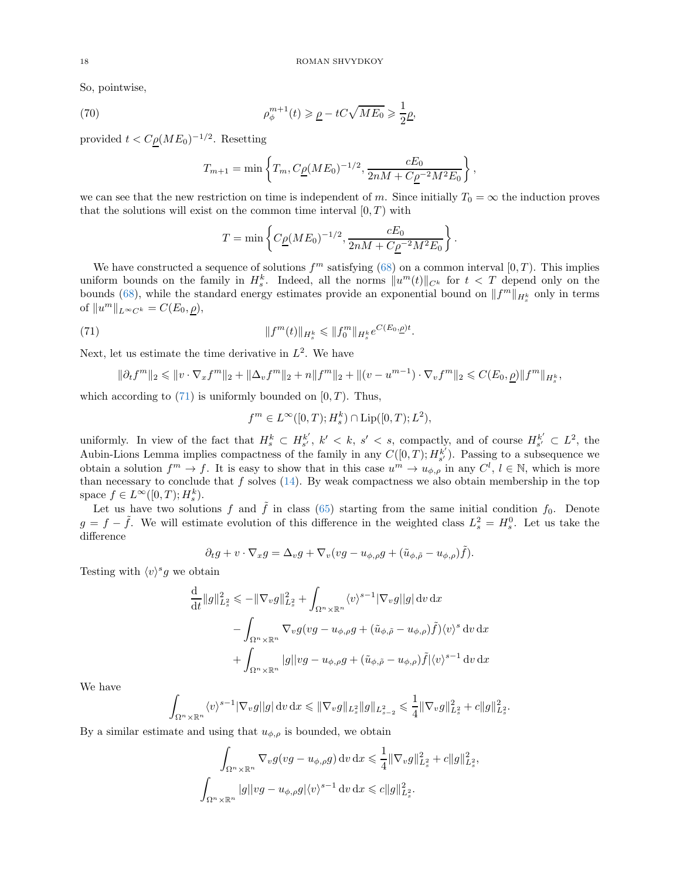So, pointwise,

(70) 
$$
\rho_{\phi}^{m+1}(t) \geq \underline{\rho} - tC\sqrt{ME_0} \geq \frac{1}{2}\underline{\rho},
$$

provided  $t < C \rho (ME_0)^{-1/2}$ . Resetting

$$
T_{m+1} = \min\left\{T_m, C_{\underline{\rho}}(ME_0)^{-1/2}, \frac{cE_0}{2nM + C_{\underline{\rho}}^{-2}M^2E_0}\right\},\,
$$

we can see that the new restriction on time is independent of m. Since initially  $T_0 = \infty$  the induction proves that the solutions will exist on the common time interval  $[0, T)$  with

$$
T = \min \left\{ C_{\underline{\rho}} (M E_0)^{-1/2}, \frac{c E_0}{2 n M + C_{\underline{\rho}}^{-2} M^2 E_0} \right\}.
$$

We have constructed a sequence of solutions  $f<sup>m</sup>$  satisfying [\(68\)](#page-16-1) on a common interval [0, T]. This implies uniform bounds on the family in  $H_s^k$ . Indeed, all the norms  $||u^m(t)||_{C^k}$  for  $t < T$  depend only on the bounds [\(68\)](#page-16-1), while the standard energy estimates provide an exponential bound on  $||f^m||_{H_s^k}$  only in terms of  $||u^m||_{L^{\infty}C^k} = C(E_0, \underline{\rho}),$ 

(71) 
$$
||f^m(t)||_{H_s^k} \leq ||f_0^m||_{H_s^k} e^{C(E_0,\underline{\rho})t}.
$$

Next, let us estimate the time derivative in  $L^2$ . We have

$$
\|\partial_t f^m\|_2 \leq \|v \cdot \nabla_x f^m\|_2 + \|\Delta_v f^m\|_2 + n\|f^m\|_2 + \|(v - u^{m-1}) \cdot \nabla_v f^m\|_2 \leq C(E_0, \underline{\rho}) \|f^m\|_{H_s^k},
$$

which according to  $(71)$  is uniformly bounded on  $[0, T)$ . Thus,

<span id="page-17-0"></span>
$$
f^{m} \in L^{\infty}([0, T); H_{s}^{k}) \cap Lip([0, T); L^{2}),
$$

uniformly. In view of the fact that  $H_s^k \subset H_{s'}^{k'}, k' < k, s' < s$ , compactly, and of course  $H_{s'}^{k'} \subset L^2$ , the Aubin-Lions Lemma implies compactness of the family in any  $C([0,T); H^{k'}_{s'})$ . Passing to a subsequence we obtain a solution  $f^m \to f$ . It is easy to show that in this case  $u^m \to u_{\phi,\rho}$  in any  $C^l$ ,  $l \in \mathbb{N}$ , which is more than necessary to conclude that  $f$  solves [\(14\)](#page-2-2). By weak compactness we also obtain membership in the top space  $f \in L^{\infty}([0,T); H_s^k)$ .

Let us have two solutions f and  $\tilde{f}$  in class [\(65\)](#page-16-3) starting from the same initial condition  $f_0$ . Denote  $g = f - \tilde{f}$ . We will estimate evolution of this difference in the weighted class  $L_s^2 = H_s^0$ . Let us take the difference

$$
\partial_t g + v \cdot \nabla_x g = \Delta_v g + \nabla_v (v g - u_{\phi, \rho} g + (\tilde{u}_{\phi, \tilde{\rho}} - u_{\phi, \rho}) \tilde{f}).
$$

Testing with  $\langle v \rangle^s g$  we obtain

$$
\frac{\mathrm{d}}{\mathrm{d}t} \|g\|_{L_s^2}^2 \leqslant -\|\nabla_v g\|_{L_s^2}^2 + \int_{\Omega^n \times \mathbb{R}^n} \langle v \rangle^{s-1} |\nabla_v g| |g| \, \mathrm{d}v \, \mathrm{d}x
$$
\n
$$
- \int_{\Omega^n \times \mathbb{R}^n} \nabla_v g(vg - u_{\phi, \rho}g + (\tilde{u}_{\phi, \tilde{\rho}} - u_{\phi, \rho}) \tilde{f}) \langle v \rangle^s \, \mathrm{d}v \, \mathrm{d}x
$$
\n
$$
+ \int_{\Omega^n \times \mathbb{R}^n} |g| |v g - u_{\phi, \rho}g + (\tilde{u}_{\phi, \tilde{\rho}} - u_{\phi, \rho}) \tilde{f}| \langle v \rangle^{s-1} \, \mathrm{d}v \, \mathrm{d}x
$$

We have

$$
\int_{\Omega^n \times \mathbb{R}^n} \langle v \rangle^{s-1} |\nabla_v g||g| \, \mathrm{d} v \, \mathrm{d} x \leqslant \| \nabla_v g \|_{L^2_s} \| g \|_{L^2_{s-2}} \leqslant \frac{1}{4} \| \nabla_v g \|_{L^2_s}^2 + c \| g \|_{L^2_s}^2.
$$

By a similar estimate and using that  $u_{\phi,\rho}$  is bounded, we obtain

$$
\int_{\Omega^n \times \mathbb{R}^n} \nabla_v g(vg - u_{\phi, \rho}g) dv dx \leq \frac{1}{4} ||\nabla_v g||_{L_x^2}^2 + c||g||_{L_x^2}^2,
$$
  

$$
\int_{\Omega^n \times \mathbb{R}^n} |g||vg - u_{\phi, \rho}g|\langle v \rangle^{s-1} dv dx \leq c||g||_{L_x^2}^2.
$$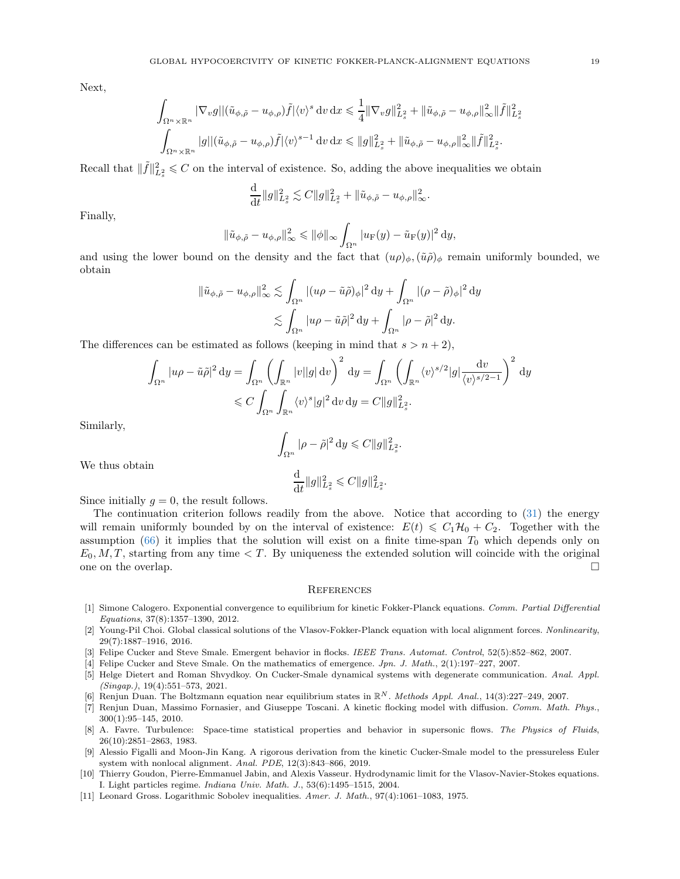Next,

$$
\int_{\Omega^n\times\mathbb{R}^n} |\nabla_v g||(\tilde{u}_{\phi,\tilde{\rho}} - u_{\phi,\rho})\tilde{f}|\langle v\rangle^s \, \mathrm{d}v \, \mathrm{d}x \leq \frac{1}{4} ||\nabla_v g||_{L_x^2}^2 + ||\tilde{u}_{\phi,\tilde{\rho}} - u_{\phi,\rho}||_\infty^2 ||\tilde{f}||_{L_x^2}^2
$$
  

$$
\int_{\Omega^n\times\mathbb{R}^n} |g||(\tilde{u}_{\phi,\tilde{\rho}} - u_{\phi,\rho})\tilde{f}|\langle v\rangle^{s-1} \, \mathrm{d}v \, \mathrm{d}x \leq ||g||_{L_x^2}^2 + ||\tilde{u}_{\phi,\tilde{\rho}} - u_{\phi,\rho}||_\infty^2 ||\tilde{f}||_{L_x^2}^2.
$$

Recall that  $\|\tilde{f}\|_{L^2_s}^2 \leqslant C$  on the interval of existence. So, adding the above inequalities we obtain

$$
\frac{\mathrm{d}}{\mathrm{d}t} \|g\|_{L_s^2}^2 \lesssim C \|g\|_{L_s^2}^2 + \|\tilde{u}_{\phi,\tilde{\rho}} - u_{\phi,\rho}\|_{\infty}^2.
$$

Finally,

$$
\|\tilde{u}_{\phi,\tilde{\rho}}-u_{\phi,\rho}\|_{\infty}^2 \leqslant \|\phi\|_{\infty}\int_{\Omega^n}|u_F(y)-\tilde{u}_F(y)|^2\,\mathrm{d}y,
$$

and using the lower bound on the density and the fact that  $(u\rho)_\phi$ ,  $(\tilde{u}\tilde{\rho})_\phi$  remain uniformly bounded, we obtain

$$
\|\tilde{u}_{\phi,\tilde{\rho}} - u_{\phi,\rho}\|_{\infty}^2 \lesssim \int_{\Omega^n} |(u\rho - \tilde{u}\tilde{\rho})_{\phi}|^2 dy + \int_{\Omega^n} |(\rho - \tilde{\rho})_{\phi}|^2 dy
$$
  

$$
\lesssim \int_{\Omega^n} |u\rho - \tilde{u}\tilde{\rho}|^2 dy + \int_{\Omega^n} |\rho - \tilde{\rho}|^2 dy.
$$

The differences can be estimated as follows (keeping in mind that  $s > n + 2$ ),

$$
\int_{\Omega^n} |u\rho - \tilde{u}\tilde{\rho}|^2 dy = \int_{\Omega^n} \left( \int_{\mathbb{R}^n} |v||g| dv \right)^2 dy = \int_{\Omega^n} \left( \int_{\mathbb{R}^n} \langle v \rangle^{s/2} |g| \frac{dv}{\langle v \rangle^{s/2 - 1}} \right)^2 dy
$$
  

$$
\leq C \int_{\Omega^n} \int_{\mathbb{R}^n} \langle v \rangle^s |g|^2 dv dy = C ||g||_{L_s^2}^2.
$$

Similarly,

$$
\int_{\Omega^n} |\rho - \tilde{\rho}|^2 dy \leqslant C ||g||_{L^2_s}^2.
$$
  

$$
\frac{d}{dt} ||g||_{L^2_s}^2 \leqslant C ||g||_{L^2_s}^2.
$$

We thus obtain

Since initially  $g = 0$ , the result follows.

The continuation criterion follows readily from the above. Notice that according to [\(31\)](#page-5-5) the energy will remain uniformly bounded by on the interval of existence:  $E(t) \leq C_1\mathcal{H}_0 + C_2$ . Together with the assumption [\(66\)](#page-16-4) it implies that the solution will exist on a finite time-span  $T_0$  which depends only on  $E_0, M, T$ , starting from any time  $\lt T$ . By uniqueness the extended solution will coincide with the original one on the overlap.  $\Box$ 

#### **REFERENCES**

- <span id="page-18-8"></span>[1] Simone Calogero. Exponential convergence to equilibrium for kinetic Fokker-Planck equations. Comm. Partial Differential Equations, 37(8):1357–1390, 2012.
- <span id="page-18-4"></span>[2] Young-Pil Choi. Global classical solutions of the Vlasov-Fokker-Planck equation with local alignment forces. Nonlinearity, 29(7):1887–1916, 2016.
- <span id="page-18-1"></span><span id="page-18-0"></span>[3] Felipe Cucker and Steve Smale. Emergent behavior in flocks. IEEE Trans. Automat. Control, 52(5):852–862, 2007.
- <span id="page-18-2"></span>[4] Felipe Cucker and Steve Smale. On the mathematics of emergence. Jpn. J. Math., 2(1):197–227, 2007.
- [5] Helge Dietert and Roman Shvydkoy. On Cucker-Smale dynamical systems with degenerate communication. Anal. Appl. (Singap.), 19(4):551–573, 2021.
- <span id="page-18-5"></span><span id="page-18-3"></span>[6] Renjun Duan. The Boltzmann equation near equilibrium states in  $\mathbb{R}^N$ . Methods Appl. Anal., 14(3):227–249, 2007.
- [7] Renjun Duan, Massimo Fornasier, and Giuseppe Toscani. A kinetic flocking model with diffusion. Comm. Math. Phys., 300(1):95–145, 2010.
- <span id="page-18-6"></span>[8] A. Favre. Turbulence: Space-time statistical properties and behavior in supersonic flows. The Physics of Fluids, 26(10):2851–2863, 1983.
- <span id="page-18-7"></span>[9] Alessio Figalli and Moon-Jin Kang. A rigorous derivation from the kinetic Cucker-Smale model to the pressureless Euler system with nonlocal alignment. Anal. PDE, 12(3):843–866, 2019.
- <span id="page-18-9"></span>[10] Thierry Goudon, Pierre-Emmanuel Jabin, and Alexis Vasseur. Hydrodynamic limit for the Vlasov-Navier-Stokes equations. I. Light particles regime. Indiana Univ. Math. J., 53(6):1495–1515, 2004.
- <span id="page-18-10"></span>[11] Leonard Gross. Logarithmic Sobolev inequalities. Amer. J. Math., 97(4):1061–1083, 1975.